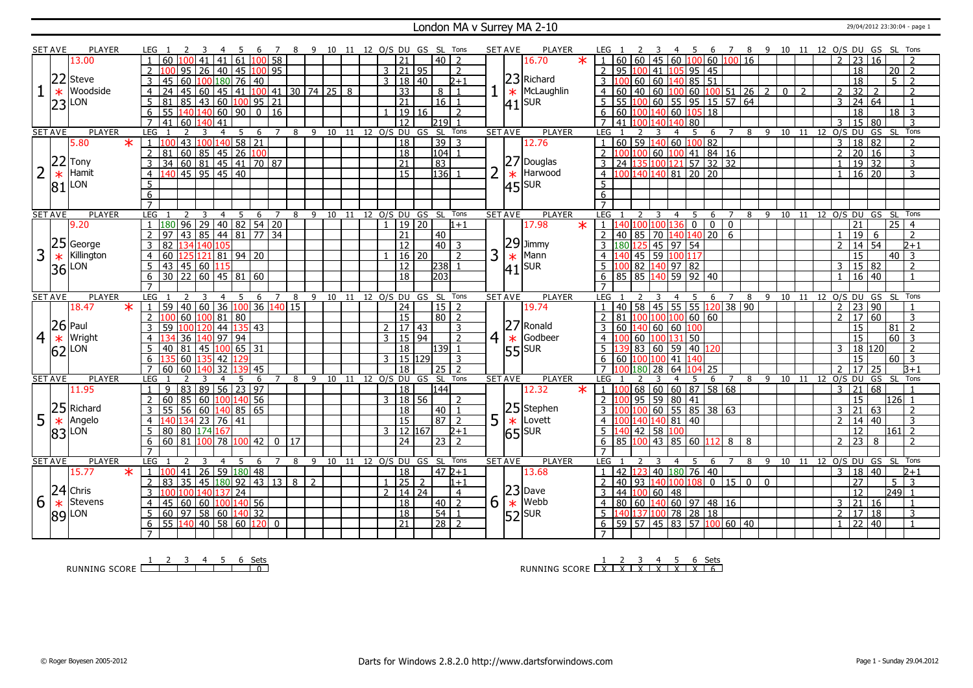#### London MA v Surrey MA 2-10 29/04/2012 23:30:04 - page 1

|   | SET AVE        | PLAYER          |                     |                                                                      |                 |           |                       |                 |    |                              |    |      |  | 10 11 12 O/S DU GS SL Tons |                 |                     |                          |   | <b>SET AVE</b> | PLAYER                |                                                                   |                   |                                 |                |                                                        | 6<br>7              |                                                              |          | 8 9 10 11 12 O/S DU GS SL |     |              |                          |                           |                 |                 |                |
|---|----------------|-----------------|---------------------|----------------------------------------------------------------------|-----------------|-----------|-----------------------|-----------------|----|------------------------------|----|------|--|----------------------------|-----------------|---------------------|--------------------------|---|----------------|-----------------------|-------------------------------------------------------------------|-------------------|---------------------------------|----------------|--------------------------------------------------------|---------------------|--------------------------------------------------------------|----------|---------------------------|-----|--------------|--------------------------|---------------------------|-----------------|-----------------|----------------|
|   |                | 13.00           |                     | -60<br>41                                                            | 41              | 61        |                       | $100$ 58        |    |                              |    |      |  | 21                         |                 | 40 <sup>1</sup>     | $\overline{z}$           |   |                | 16.70<br>$\ast$       | 60                                                                |                   |                                 |                |                                                        |                     | 60   45   60   <mark>100</mark>   60   <mark>100</mark>   16 |          |                           |     |              | $\overline{\phantom{a}}$ | 23                        | 16              |                 |                |
|   |                |                 | $\overline{2}$      | 95<br>l 26                                                           | $\sqrt{40}$     |           | 45 100 95             |                 |    |                              |    |      |  | $3 \mid 21 \mid 95$        |                 |                     | $\overline{2}$           |   |                |                       | 2   95   100   41                                                 |                   |                                 | 105            | $95$ 45                                                |                     |                                                              |          |                           |     |              |                          | $\overline{18}$           |                 | $20$   2        |                |
|   | 22             | <b>Steve</b>    | 3                   | 60 100 180 76 40<br>45                                               |                 |           |                       |                 |    |                              |    |      |  | 3   18   40                |                 |                     | $2 + 1$                  |   |                | 23 Richard            | $3 \overline{100}$                                                |                   |                                 |                | 60   60   140   85   51                                |                     |                                                              |          |                           |     |              |                          | 18                        |                 | $\overline{5}$  | l 2            |
|   |                | Woodside        |                     |                                                                      |                 |           |                       |                 |    |                              |    |      |  |                            |                 |                     |                          |   |                | * McLaughlin          |                                                                   |                   |                                 |                |                                                        |                     |                                                              |          |                           |     |              |                          |                           |                 |                 | $\overline{2}$ |
|   | $\ast$         |                 | $\overline{4}$      | $\sqrt{45}$ 60<br>24                                                 |                 |           | 45 41 100 41 30 74 25 |                 |    |                              |    | 8    |  | $\overline{33}$            |                 | 8 <sup>1</sup>      | $\overline{1}$           |   |                |                       | $\overline{4}$<br>60                                              |                   |                                 |                |                                                        |                     |                                                              |          |                           |     |              | 2                        | $\overline{32}$           | $\overline{2}$  |                 |                |
|   | 23             | LON             | 5                   | 85 43 60 100 95<br>81                                                |                 |           |                       | 21              |    |                              |    |      |  | $\overline{21}$            |                 | 16                  |                          |   |                | $ 41 $ SUR            | 5 <sup>1</sup><br>55                                              | 100               |                                 |                |                                                        |                     | $60$   55   95   15   57   64                                |          |                           |     |              | $\overline{3}$           | 24 64                     |                 |                 |                |
|   |                |                 |                     |                                                                      | 140 60 90       |           | $\overline{0}$        | 16              |    |                              |    |      |  |                            | 19 16           |                     | $\overline{z}$           |   |                |                       | 6<br>60                                                           |                   |                                 | 140 60         | 105                                                    | 18                  |                                                              |          |                           |     |              |                          | 18                        |                 | $18$   3        |                |
|   |                |                 |                     | 41<br>60 140                                                         | 41              |           |                       |                 |    |                              |    |      |  | $\overline{12}$            |                 | 219                 |                          |   |                |                       | 41                                                                |                   |                                 |                | 80                                                     |                     |                                                              |          |                           |     |              |                          | 15                        | 180             |                 | 3              |
|   | <b>SET AVE</b> | <b>PLAYER</b>   | LEG                 |                                                                      | 4               | 5         | 6                     | $\overline{7}$  | 8  | 9 10 11 12 0/S DU GS SL Tons |    |      |  |                            |                 |                     |                          |   | <b>SET AVE</b> | <b>PLAYER</b>         | LEG                                                               |                   |                                 |                | 5                                                      | 6<br>$\overline{7}$ |                                                              |          | 8 9 10 11 12 O/S DU       |     |              |                          |                           | GS              | - SL            | Tons           |
|   |                | 5.80<br>$\ast$  |                     | 43                                                                   | 100 140 58 21   |           |                       |                 |    |                              |    |      |  | 18                         |                 | 39                  | 3                        |   |                | 12.76                 |                                                                   | $60$ 59           |                                 |                | 140 60 100 82                                          |                     |                                                              |          |                           |     |              | 3                        | 18 82                     |                 |                 |                |
|   |                |                 | $\overline{2}$      | 81                                                                   |                 |           |                       |                 |    |                              |    |      |  | 18                         |                 | 104                 |                          |   |                |                       | $2^{\circ}$                                                       |                   |                                 |                | $\boxed{100}\boxed{100}$ 60 $\boxed{100}$ 41   84   16 |                     |                                                              |          |                           |     |              | $\overline{2}$           | 20 16                     |                 |                 | 3              |
|   | 22             | Tony            | 3                   | 34                                                                   |                 |           |                       |                 |    |                              |    |      |  | $\overline{21}$            |                 | $\overline{83}$     |                          |   |                | 27 Douglas            | 3 <sup>1</sup>                                                    |                   |                                 |                | 24 135 100 121 57 32 32                                |                     |                                                              |          |                           |     |              |                          | $\boxed{19}$ $\boxed{32}$ |                 |                 | $\overline{3}$ |
|   | $\ast$         | Hamit           | $\overline{4}$      | <u>81</u> 60 85 45 26 100<br>34 60 81 45 41 70 87<br>140 45 95 45 40 |                 |           |                       |                 |    |                              |    |      |  | $\overline{15}$            |                 | 136                 |                          | 2 | $\ast$         | Harwood               | $\frac{4}{100}$ 140 140 81 20 20                                  |                   |                                 |                |                                                        |                     |                                                              |          |                           |     |              | $\mathbf{1}$             | $16 \overline{)20}$       |                 |                 | 3              |
|   | 81             | LON             | 5                   |                                                                      |                 |           |                       |                 |    |                              |    |      |  |                            |                 |                     |                          |   |                | $ 45 $ <sub>SUR</sub> | $\overline{5}$                                                    |                   |                                 |                |                                                        |                     |                                                              |          |                           |     |              |                          |                           |                 |                 |                |
|   |                |                 | 6                   |                                                                      |                 |           |                       |                 |    |                              |    |      |  |                            |                 |                     |                          |   |                |                       | 6                                                                 |                   |                                 |                |                                                        |                     |                                                              |          |                           |     |              |                          |                           |                 |                 |                |
|   |                |                 | $\overline{7}$      |                                                                      |                 |           |                       |                 |    |                              |    |      |  |                            |                 |                     |                          |   |                |                       | $\overline{7}$                                                    |                   |                                 |                |                                                        |                     |                                                              |          |                           |     |              |                          |                           |                 |                 |                |
|   | <b>SET AVE</b> | <b>PLAYER</b>   | LEG                 | ्र                                                                   | 4               | -5        | -6                    | 7               |    | 89                           | 10 | - 11 |  | 12 O/S DU GS SL            |                 |                     | Tons                     |   | <b>SET AVE</b> | <b>PLAYER</b>         | LEG                                                               |                   |                                 | $\overline{a}$ | .5                                                     | 6<br>$\overline{7}$ | 8                                                            |          | 9 10                      | 11  | 12 O/S DU GS |                          |                           |                 | - SL            | Tons           |
|   |                | 9.20            |                     | 1 180 96 29 40 82 54 20                                              |                 |           |                       |                 |    |                              |    |      |  | 1   19   20                |                 |                     | $1 + 1$                  |   |                | 17.98<br>$\ast$       | 1 140 100 100 136                                                 |                   |                                 |                | $\overline{0}$                                         | 0 <sub>0</sub>      |                                                              |          |                           |     |              |                          | 21                        |                 | $25 \mid 4$     |                |
|   |                |                 | 2                   | $\frac{1}{1}$ 43 85 44 81 77<br>97                                   |                 |           |                       | $\overline{34}$ |    |                              |    |      |  | $\overline{21}$            |                 | 40                  |                          |   |                |                       | $\overline{2}$                                                    |                   |                                 |                | $40$ 85 70 140 140 20 6                                |                     |                                                              |          |                           |     |              |                          | 19                        | - 6             |                 | $\overline{z}$ |
|   | 25             | George          | 3                   | 82 134 140 105                                                       |                 |           |                       |                 |    |                              |    |      |  | 12                         |                 | $\boxed{40}$ 3      |                          |   |                | $ 29 $ Jimmy          | 3 180 125 45 97 54                                                |                   |                                 |                |                                                        |                     |                                                              |          |                           |     |              | $\mathcal{D}$            | 14 54                     |                 |                 | $2+1$          |
| 3 |                | Killington      | $\overline{4}$      | 60                                                                   | 121819420       |           |                       |                 |    |                              |    |      |  | $16 \mid 20$               |                 |                     | $\overline{\phantom{0}}$ | 3 |                | Mann                  |                                                                   |                   | $\sqrt{45}$ 59 $\sqrt{100}$ 117 |                |                                                        |                     |                                                              |          |                           |     |              |                          | 15                        |                 | 40              | $\overline{3}$ |
|   | $\ast$         |                 |                     |                                                                      |                 |           |                       |                 |    |                              |    |      |  |                            |                 |                     |                          |   | $\ast$         |                       | $\overline{4}$                                                    |                   |                                 |                |                                                        |                     |                                                              |          |                           |     |              |                          |                           |                 |                 |                |
|   | 36             | _ON             | 5                   | 43 45 60 115                                                         |                 |           |                       |                 |    |                              |    |      |  | 12                         |                 | 238                 |                          |   |                | $ 41 $ SUR            | $5 \left  100 \right  82 \left  140 \right  97 \left  82 \right $ |                   |                                 |                |                                                        |                     |                                                              |          |                           |     |              |                          | 15 82                     |                 |                 |                |
|   |                |                 | 6                   | $\frac{1}{30}$ 22 60 45 81 60                                        |                 |           |                       |                 |    |                              |    |      |  | $\overline{18}$            |                 | 203                 |                          |   |                |                       | $6$ 85 85 140 59 92 40                                            |                   |                                 |                |                                                        |                     |                                                              |          |                           |     |              |                          | 16                        | $ 40\rangle$    |                 |                |
|   |                |                 |                     |                                                                      |                 |           |                       |                 |    |                              |    |      |  |                            |                 |                     |                          |   | <b>SET AVE</b> |                       | LEG                                                               |                   |                                 |                |                                                        |                     |                                                              |          |                           |     |              |                          |                           | GS              |                 | Tons           |
|   |                |                 |                     |                                                                      |                 |           |                       |                 |    |                              |    |      |  |                            |                 |                     |                          |   |                |                       |                                                                   |                   |                                 |                |                                                        |                     |                                                              |          |                           |     |              |                          |                           |                 |                 |                |
|   | <b>SET AVE</b> | <b>PLAYER</b>   | LEG                 | 3                                                                    | $\overline{4}$  | 5         | 6                     | 7               | 8  | 9                            | 10 | 11   |  |                            | 12 0/S DU GS SL |                     | Tons                     |   |                | <b>PLAYER</b>         |                                                                   |                   | 3                               | 4              | 5                                                      | 6                   | 8                                                            | - 9      | 10                        | -11 | 12 0/S DU    |                          |                           |                 | - SL            |                |
|   |                | 18.47<br>$\ast$ | $\mathbf{1}$        | $140$ 60 36 100<br>59                                                |                 |           | $\overline{36}$       | $140$ 15        |    |                              |    |      |  | $\overline{24}$            |                 | $15$ $\overline{2}$ |                          |   |                | 19.74                 |                                                                   |                   |                                 |                |                                                        |                     | 40 58 45 55 55 120 38 90                                     |          |                           |     |              | 2                        | 23 90                     |                 |                 |                |
|   |                |                 | $\overline{2}$      | 60                                                                   | 100 81          | 80        |                       |                 |    |                              |    |      |  | $\overline{15}$            |                 | 80 2                |                          |   |                |                       | $\overline{2}$                                                    |                   |                                 |                | 81   100   100   100   60   60                         |                     |                                                              |          |                           |     |              |                          | 2 17                      | 60              |                 | $\overline{3}$ |
|   |                | $26$ Paul       | 3                   | 100 120 44 135 43<br>59                                              |                 |           |                       |                 |    |                              |    |      |  | 2   17   43                |                 |                     | 3                        |   |                | $ 27 $ Ronald         | 3   60   140   60   60   100                                      |                   |                                 |                |                                                        |                     |                                                              |          |                           |     |              |                          | 15                        |                 | $81$ 2          |                |
| 4 | $\ast$         | Wright          | $\overline{4}$      | 36 140                                                               |                 | $97 \ 94$ |                       |                 |    |                              |    |      |  | 3   15   94                |                 |                     | $\overline{2}$           |   | $4 \times$     | Godbeer               | $4 \, 100$                                                        |                   | 60 100 131 50                   |                |                                                        |                     |                                                              |          |                           |     |              |                          | 15                        |                 | $60$ 3          |                |
|   |                | LON             | 5                   | 81 45 100 65 31<br>40                                                |                 |           |                       |                 |    |                              |    |      |  | $\overline{18}$            |                 | 139 1               |                          |   |                |                       | 5 <sup>1</sup>                                                    |                   |                                 |                | 83   60   59   40   120                                |                     |                                                              |          |                           |     |              | 3                        | 18 120                    |                 |                 | $\overline{2}$ |
|   | 62             |                 | 6                   | 60 135                                                               | 42              |           |                       |                 |    |                              |    |      |  | 3   15   129               |                 |                     | 3                        |   |                | $ 55 $ SUR            | 6   60   100   100   41                                           |                   |                                 |                | 140                                                    |                     |                                                              |          |                           |     |              |                          | $\overline{15}$           |                 | $60$ 3          |                |
|   |                |                 | $\overline{7}$      | 60<br>60                                                             | 32              |           | 45                    |                 |    |                              |    |      |  | 18                         |                 | 25                  | $\overline{z}$           |   |                |                       | $\overline{7}$                                                    | 100 180           | 28                              | 64             | 104 25                                                 |                     |                                                              |          |                           |     |              |                          | 17                        | 25              |                 | $B+1$          |
|   | <b>SET AVE</b> | <b>PLAYER</b>   | <b>LEG</b>          |                                                                      | 4               | 5         | 6                     |                 | 8  | 9                            |    |      |  | 10 11 12 O/S DU GS SL      |                 |                     | Tons                     |   | <b>SET AVE</b> | <b>PLAYER</b>         | LEG                                                               |                   |                                 |                |                                                        | 6<br>$\overline{7}$ | 8                                                            | - 9      | 10 11 12 O/S DU           |     |              |                          |                           | GS              | - SL            | Tons           |
|   |                | 11.95           | $\mathbf{1}$        | 83<br>89<br>$\mathsf{q}$                                             | 56              |           | 23 97                 |                 |    |                              |    |      |  | 18                         |                 | 144                 |                          |   |                | 12.32<br>$\ast$       | $1 \, 100$                                                        |                   | 68 60                           |                | 60 87 58 68                                            |                     |                                                              |          |                           |     |              | 3                        | 21                        | $\overline{68}$ |                 |                |
|   |                |                 | $2^{\circ}$         | 60 85 60 100 140 56                                                  |                 |           |                       |                 |    |                              |    |      |  | 3   18   56                |                 |                     | 2                        |   |                |                       | 2 <sub>1</sub>                                                    | 100 95 59 80 41   |                                 |                |                                                        |                     |                                                              |          |                           |     |              |                          | 15                        |                 | $ 126 $ 1       |                |
|   | 25             | Richard         | 3                   | $55$ 56 60 140 85 65                                                 |                 |           |                       |                 |    |                              |    |      |  | 18                         |                 | 40                  |                          |   |                | 25 Stephen            | $\mathbf{3}$                                                      |                   |                                 |                | 00 100 60 55 85 38 63                                  |                     |                                                              |          |                           |     |              | 3                        | 21                        | 63              |                 |                |
|   |                |                 | 4                   | 140 134 23 76                                                        |                 | 41        |                       |                 |    |                              |    |      |  | 15                         |                 | 87                  | $\overline{2}$           |   |                |                       | $\overline{4}$                                                    | 100 140 140 81 40 |                                 |                |                                                        |                     |                                                              |          |                           |     |              | 2                        | l 14                      | 140             |                 | 3              |
| 5 | $\ast$         | Angelo<br>LON   | 5                   |                                                                      |                 |           |                       |                 |    |                              |    |      |  |                            |                 |                     | $2 + 1$                  | 5 |                | $\star$ Lovett        |                                                                   |                   |                                 |                |                                                        |                     |                                                              |          |                           |     |              |                          |                           |                 | $ 161 $ 2       |                |
|   | 83             |                 |                     | 80   80   174 <mark>167</mark>                                       |                 |           |                       |                 |    |                              |    |      |  | $3$ 12 167                 |                 |                     | $\overline{2}$           |   |                | $ 65 $ <sub>SUR</sub> | $\overline{5}$ 140 42 58 100                                      |                   |                                 |                |                                                        |                     |                                                              |          |                           |     |              | $\overline{2}$           | 12                        |                 |                 | $\overline{z}$ |
|   |                |                 | 6<br>$\overline{7}$ | 60 81 100                                                            | $\overline{78}$ |           | $100$ 42              | $\mathbf 0$     | 17 |                              |    |      |  | 24                         |                 | $\overline{23}$     |                          |   |                |                       | 6<br>85<br>$\overline{7}$                                         | 100               |                                 |                | $43 \ 85 \ 60 \ 112 \ 8 \ 8$                           |                     |                                                              |          |                           |     |              |                          | $\overline{23}$           | 8               |                 |                |
|   |                |                 |                     | $\mathcal{L}$<br>3                                                   |                 |           |                       |                 |    |                              |    |      |  |                            |                 |                     |                          |   |                |                       |                                                                   |                   | 3                               |                |                                                        |                     |                                                              |          |                           |     |              |                          |                           |                 |                 |                |
|   | <b>SET AVE</b> | <b>PLAYER</b>   | LEG <sub>1</sub>    |                                                                      | $\overline{4}$  | -5        | 6                     | $\overline{7}$  | 8  | 9                            |    |      |  | 10 11 12 O/S DU GS SL Tons |                 |                     |                          |   | <b>SET AVE</b> | PLAYER                | LEG                                                               |                   |                                 |                |                                                        |                     | 4 5 6 7 8 9 10 11 12 0/S DU GS SL                            |          |                           |     |              |                          |                           |                 |                 | Tons           |
|   |                | 15.77<br>$\ast$ | $\mathbf{1}$        | 41<br>26                                                             |                 |           | 59 180 48             |                 |    |                              |    |      |  | $\overline{18}$            |                 | 47 2+1              |                          |   |                | 13.68                 |                                                                   | 42 123            |                                 |                | 40 180 76 40                                           |                     |                                                              |          |                           |     |              |                          | 3   18   40               |                 |                 | $2 + 1$        |
|   |                |                 | 2                   | 35 <br>83 ا                                                          | 45 180 92 43 13 |           |                       |                 | 8  | 2                            |    |      |  | $1 \mid 25$                | 2               |                     | $1 + 1$                  |   |                |                       | 2  40  93                                                         |                   | 140                             | 100 l          | 108                                                    |                     | $0$ 15 0                                                     | $\Omega$ |                           |     |              |                          | $\overline{27}$           |                 | $5\overline{3}$ |                |
|   | 24             | Chris           | $\mathcal{E}$       | 100 100 140 137 24                                                   |                 |           |                       |                 |    |                              |    |      |  | 2   14   24                |                 |                     | $\overline{4}$           |   |                | $ 23 $ Dave           | 3   44   100   60   48                                            |                   |                                 |                |                                                        |                     |                                                              |          |                           |     |              |                          | l 12                      |                 | 249 1           |                |
| 6 | $\ast$         | Stevens         | $\overline{4}$      | 60 60 100 140 56<br>45                                               |                 |           |                       |                 |    |                              |    |      |  | $\overline{18}$            |                 | 40 l                | $\overline{2}$           | 6 |                | $\star$  Webb         | $\overline{4}$                                                    |                   |                                 |                | 80 60 140 60 97 48 16                                  |                     |                                                              |          |                           |     |              | 3                        | 21 16                     |                 |                 | $\mathbf{1}$   |
|   | 89             | LON             | 5                   | $60$   97   58   60   140   32                                       |                 |           |                       |                 |    |                              |    |      |  | $\overline{18}$            |                 | 54                  |                          |   |                |                       | 5 140 137 100 78 28 18                                            |                   |                                 |                |                                                        |                     |                                                              |          |                           |     |              |                          | 2   17   18               |                 |                 | $\overline{3}$ |
|   |                |                 | 6                   | 55 140 40 58 60 120                                                  |                 |           |                       | $\mathbf 0$     |    |                              |    |      |  | $\overline{21}$            |                 | $\overline{28}$     |                          |   |                | $52$ SUR              | $6$   59   57   45   83   57   100   60   40                      |                   |                                 |                |                                                        |                     |                                                              |          |                           |     |              |                          | 22 40                     |                 |                 |                |

RUNNING SCORE <u>| 2 3 4 5 6 Sets</u><br>RUNNING SCORE | | | | | | | | 0

RUNNING SCORE 1 X 2 X 3 X 4 X 5 X 6 X Sets 6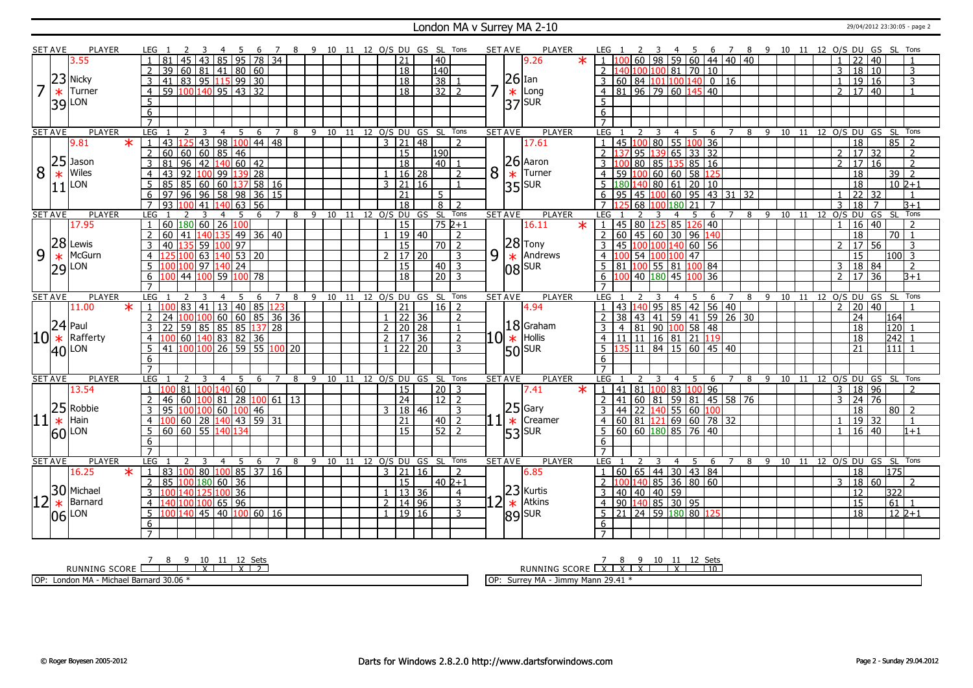#### London MA v Surrey MA 2-10 29/04/2012 23:30:05 - page 2

|                | <b>SET AVE</b> | <b>PLAYER</b>         | LEG 1                       | -3<br>-4<br>-5                             | - 6                   | 7 8 9 10 11 12 O/S DU GS SL Tons |                         |  |                                      |                |                                   |   | <b>SET AVE</b> | <b>PLAYER</b>                                                                 | LEG <sub>1</sub>                                                 | 3                                | 45                                     |                     |                | 6 7 8 9 10 11 12 O/S DU GS SL Tons |  |                                 |                                    |                           |                    |
|----------------|----------------|-----------------------|-----------------------------|--------------------------------------------|-----------------------|----------------------------------|-------------------------|--|--------------------------------------|----------------|-----------------------------------|---|----------------|-------------------------------------------------------------------------------|------------------------------------------------------------------|----------------------------------|----------------------------------------|---------------------|----------------|------------------------------------|--|---------------------------------|------------------------------------|---------------------------|--------------------|
|                |                | 3.55                  | $\overline{45}$<br>81       | $\overline{43}$<br> 85                     | $95 \mid 78 \mid 34$  |                                  |                         |  | 21                                   |                | $ 40\rangle$                      |   |                | 9.26<br>$\ast$                                                                |                                                                  | $60$ 98                          | $159$ 60 44 40 40                      |                     |                |                                    |  | 22                              | 40                                 |                           | $\overline{1}$     |
|                |                |                       | $\overline{2}$<br>39<br>60  | 81 41 80 60                                |                       |                                  |                         |  | <sup>18</sup>                        |                | $\overline{140}$                  |   |                |                                                                               | 2                                                                | 100 100                          | $81$ 70 10                             |                     |                |                                    |  | $\overline{3}$                  | 18<br>10                           |                           | $\overline{3}$     |
|                |                | $23$ Nicky            | 3<br>$\overline{41}$        | 83 95 115 99 30                            |                       |                                  |                         |  | 18                                   |                | 38                                |   |                | $26$ Ian                                                                      | 60 84 101 100 140<br>3                                           |                                  |                                        | $0$ 16              |                |                                    |  |                                 | $\overline{19}$<br>16              |                           | $\overline{3}$     |
| $\overline{7}$ | $\ast$         | Turner                | $\overline{4}$              | 59 100 140 95 43 32                        |                       |                                  |                         |  | $\overline{18}$                      |                | $32$   2                          |   | $\ast$         | Long                                                                          | $4 \ 81 \ 96 \ 79 \ 60 \ 145 \ 40$                               |                                  |                                        |                     |                |                                    |  | 2   17   40                     |                                    |                           | $\overline{1}$     |
|                |                | 39 LON                | $\overline{5}$              |                                            |                       |                                  |                         |  |                                      |                |                                   |   |                | $ 37 $ <sub>SUR</sub>                                                         | 5                                                                |                                  |                                        |                     |                |                                    |  |                                 |                                    |                           |                    |
|                |                |                       | $\overline{6}$              |                                            |                       |                                  |                         |  |                                      |                |                                   |   |                |                                                                               | 6                                                                |                                  |                                        |                     |                |                                    |  |                                 |                                    |                           |                    |
|                |                |                       | $\overline{7}$              |                                            |                       |                                  |                         |  |                                      |                |                                   |   |                |                                                                               | $\overline{7}$                                                   |                                  |                                        |                     |                |                                    |  |                                 |                                    |                           |                    |
|                | <b>SET AVE</b> | <b>PLAYER</b>         | LEG                         | 5<br>3<br>$\overline{4}$                   | - 6<br>$\overline{7}$ | 8 9 10 11 12 0/S DU GS SL Tons   |                         |  |                                      |                |                                   |   | <b>SET AVE</b> | <b>PLAYER</b>                                                                 | LEG <sub>1</sub><br><sup>2</sup>                                 | $\overline{3}$<br>$\overline{4}$ | 5<br>$6^{\circ}$                       | $\overline{7}$      |                | 8 9 10 11 12 O/S DU GS SL Tons     |  |                                 |                                    |                           |                    |
|                |                | 9.81<br>$\ast$        | $\mathbf{1}$<br>43          | 125 43 98 100 44 48                        |                       |                                  |                         |  | $3 \mid 21 \mid 48$                  |                | $\overline{2}$                    |   |                | 17.61                                                                         |                                                                  |                                  | 45 100 80 55 100 36                    |                     |                |                                    |  | $\overline{18}$                 |                                    | 85                        | $\overline{2}$     |
|                |                |                       | $\overline{2}$<br>60        | 60   60   85<br>$\overline{46}$            |                       |                                  |                         |  | 15                                   |                | 190                               |   |                |                                                                               | $2^{\circ}$<br>95                                                | 39                               | $65$ 33 32                             |                     |                |                                    |  | $\overline{2}$                  | 17<br>32                           |                           | $\overline{2}$     |
|                | 25             | Jason                 | $\overline{96}$<br>3<br>81  | $\boxed{42}$ $\boxed{140}$ 60 $\boxed{42}$ |                       |                                  |                         |  | $\overline{18}$                      |                | $40$   1                          |   |                | $26$ Aaron                                                                    | 80                                                               | 135<br>l 85                      | $85 \ 16$                              |                     |                |                                    |  | $\mathcal{P}$                   | $\overline{17}$<br>$\overline{16}$ |                           | $\overline{2}$     |
| 8              | $\ast$         | Wiles                 | 92<br>$\overline{4}$<br>43  | 100 99<br>139 28                           |                       |                                  |                         |  |                                      | 16 28          | $\overline{2}$                    | 8 | $\ast$         | Turner                                                                        | 59<br>100<br>$\overline{4}$                                      |                                  | 60 60 58 125                           |                     |                |                                    |  | 18                              |                                    | 39                        | $\overline{2}$     |
|                |                | LON                   | 5<br>85<br>85               | 60 60 137 58 16                            |                       |                                  |                         |  | $3 \mid 21 \mid 16$                  |                | $\overline{1}$                    |   |                |                                                                               | 5                                                                |                                  | l80 <mark>140</mark> 80   61   20   10 |                     |                |                                    |  |                                 | $\overline{18}$                    |                           | $10\,$ $2+1$       |
|                | 11             |                       | 96<br>6<br>97               | $96$ 58 98                                 | 36 15                 |                                  |                         |  | $\overline{21}$                      |                | 5 <sup>1</sup>                    |   |                | $35$ $SUR$                                                                    | 95                                                               | 45 100 60                        | $95 \mid 43 \mid 31 \mid 32$           |                     |                |                                    |  | $\overline{22}$                 | 32                                 |                           | $\overline{1}$     |
|                |                |                       | $\overline{7}$<br>93<br>100 | $140$ 63 56<br>41                          |                       |                                  |                         |  | $\overline{18}$                      |                | $8$   2                           |   |                |                                                                               | 68 100<br>$\overline{7}$                                         | 180                              | 21<br>$\overline{7}$                   |                     |                |                                    |  | $\overline{18}$<br>$\mathbf{R}$ | $\overline{7}$                     |                           | $\overline{B+1}$   |
|                | <b>SET AVE</b> | <b>PLAYER</b>         | LEG                         | 3<br>$\overline{4}$<br>5                   | 6<br>$\overline{7}$   | 8                                | 9 10 11 12 O/S DU GS SL |  |                                      |                | Tons                              |   | <b>SET AVE</b> | <b>PLAYER</b>                                                                 | LEG                                                              |                                  | $\overline{4}$<br>5                    | 6<br>$\overline{7}$ | $\overline{8}$ | $\overline{9}$                     |  | 10 11 12 O/S DU                 |                                    | $GS$ $SL$                 | Tons               |
|                |                | 17.95                 | $\mathbf{1}$                | 60 180 60 26 100                           |                       |                                  |                         |  | 15                                   |                | $752+1$                           |   |                | 16.11<br>$\overline{\ast}$                                                    | 45 80 125 85 126 40<br>$\overline{1}$                            |                                  |                                        |                     |                |                                    |  | $\overline{1}$                  | $16 \mid 40$                       |                           | $\mathcal{L}$      |
|                |                |                       | 60<br>41<br>2               | 140 135                                    | 49 36 40              |                                  |                         |  |                                      | 19 40          | <sup>2</sup>                      |   |                |                                                                               | 60<br>2                                                          |                                  | $\boxed{45}$ 60 30 96 140              |                     |                |                                    |  | $\overline{18}$                 |                                    | 70                        | $\overline{1}$     |
|                |                | $28$ Lewis            | 3<br>40                     | 135 59 100 97                              |                       |                                  |                         |  | 15                                   |                | $70$   2                          |   |                | $\begin{array}{ c c }\n 28 \text{Trony} \\ \hline\n\text{Andre}\n\end{array}$ |                                                                  |                                  | 45 100 100 140 60 56                   |                     |                |                                    |  | $\overline{2}$<br>  17          | 56                                 |                           | 3                  |
| 9              | $\ast$         | McGurn                | $\overline{4}$              | $140$ 53 20<br>  63                        |                       |                                  |                         |  | $\mathcal{P}$                        | 117 120        | $\overline{3}$                    | 9 |                | Andrews                                                                       | LOO 54 100 100 47<br>$\overline{4}$                              |                                  |                                        |                     |                |                                    |  | 15                              |                                    | 100l                      | -3                 |
|                |                | $29$ LON              | 5<br>۱۵۵۱۱۵۵                | l 97<br>140<br>24                          |                       |                                  |                         |  | <sup>15</sup>                        |                | $40 \mid 3$                       |   |                | 08 SUR                                                                        | 81 100 55 81                                                     |                                  | 100 84                                 |                     |                |                                    |  | 3 <sup>1</sup>                  | 18 84                              |                           | $\overline{2}$     |
|                |                |                       | 44                          | $100$ 59<br>100 78                         |                       |                                  |                         |  | $\overline{18}$                      |                | $\overline{20}$ 3                 |   |                |                                                                               |                                                                  | 40 180 45                        | 36<br>n                                |                     |                |                                    |  | $\overline{2}$                  | 17<br>36                           |                           | $\overline{B+1}$   |
|                |                |                       |                             |                                            |                       |                                  |                         |  |                                      |                |                                   |   |                |                                                                               |                                                                  |                                  |                                        |                     |                |                                    |  |                                 |                                    |                           |                    |
|                | <b>SET AVE</b> | <b>PLAYER</b>         | <b>LEG</b>                  |                                            |                       | 8                                | 9 10 11 12 0/S DU GS SL |  |                                      |                | Tons                              |   | <b>SET AVE</b> | <b>PLAYER</b>                                                                 | <b>LEG</b>                                                       |                                  | 5<br>4                                 | 6                   | 8              | 9                                  |  | 10 11 12 0/S DU GS SL           |                                    |                           | Tons               |
|                |                |                       |                             |                                            |                       |                                  |                         |  |                                      |                |                                   |   |                |                                                                               |                                                                  |                                  |                                        |                     |                |                                    |  |                                 |                                    |                           |                    |
|                |                | $\ast$<br>11.00       | 83<br>$\mathbf{1}$<br>100   | $ 41\rangle$<br>13                         | 85 <br>123            |                                  |                         |  | 21                                   |                | $16 \mid 2$                       |   |                | 4.94                                                                          |                                                                  | 85<br>$140$ 95                   |                                        |                     |                |                                    |  | $\overline{2}$                  | $\overline{20}$<br>40              |                           |                    |
|                |                |                       | 2<br>24                     | 40                                         |                       |                                  |                         |  |                                      |                | $\overline{2}$                    |   |                |                                                                               | 38                                                               |                                  | 42 56 40                               |                     |                |                                    |  | 24                              |                                    | 164                       |                    |
|                |                | $24$ Paul             | 3<br>22                     | 100 100 60 60 85 36 36                     |                       |                                  |                         |  |                                      | $\sqrt{22}$ 36 | $\overline{1}$                    |   |                | $18$ Graham                                                                   | 4                                                                |                                  | 43 41 59 41 59 26 30                   |                     |                |                                    |  | 18                              |                                    | $120$ 1                   |                    |
|                |                |                       | $\overline{4}$<br>100       |                                            |                       |                                  |                         |  | 2   20   28                          |                | $\sqrt{2}$                        |   |                |                                                                               |                                                                  |                                  | 81   90 <mark>  100</mark>   58   48   |                     |                |                                    |  |                                 |                                    |                           |                    |
|                | $ 10  *$       | Rafferty              | 5<br>41                     |                                            |                       |                                  |                         |  | $2 \mid 17 \mid 36$<br>$1 \ 22 \ 20$ |                | 3                                 |   | $10 \ast $     | Hollis                                                                        | 4 11 11 16 81 21 19<br>$\overline{11}$<br>5                      |                                  | $\frac{1}{84}$ 15 60 45 40             |                     |                |                                    |  | 18<br>$\overline{21}$           |                                    | $\overline{242}$ 1<br>111 |                    |
|                |                | $ 40 $ LON            | 6                           |                                            |                       |                                  |                         |  |                                      |                |                                   |   |                | $ 50 $ <sub>SUR</sub>                                                         | 6                                                                |                                  |                                        |                     |                |                                    |  |                                 |                                    |                           |                    |
|                |                |                       | $\overline{7}$              |                                            |                       |                                  |                         |  |                                      |                |                                   |   |                |                                                                               | $\overline{7}$                                                   |                                  |                                        |                     |                |                                    |  |                                 |                                    |                           |                    |
|                | <b>SET AVE</b> | <b>PLAYER</b>         | <b>LEG</b>                  | 3<br>5<br>$\overline{4}$                   | 6<br>$\overline{7}$   | 8                                | 9 10 11 12 0/S DU GS SL |  |                                      |                | Tons                              |   | <b>SET AVE</b> | <b>PLAYER</b>                                                                 | LEG                                                              |                                  | -5<br>4                                | 6<br>$\overline{7}$ | 8              | -9                                 |  | 10 11 12 0/S DU GS SL           |                                    |                           | Tons               |
|                |                | 13.54                 | 81<br>$\mathbf{1}$<br>100   | 60<br>100 140                              |                       |                                  |                         |  | <sup>15</sup>                        |                | $\boxed{20}$ $\boxed{3}$          |   |                | $\ast$<br>7.41                                                                | 41<br> 81 100                                                    |                                  | 96<br>83 100                           |                     |                |                                    |  | $3 \mid 18$                     | 96                                 |                           | 2                  |
|                |                |                       | $\overline{2}$<br>46<br>60  | 28<br>  81                                 | $ 100 $ 61   13       |                                  |                         |  | $\sqrt{24}$                          |                | $12$ 2                            |   |                |                                                                               | 2<br>l 41                                                        |                                  | 60 81 59 81 45 58 76                   |                     |                |                                    |  | $\overline{3}$                  | 24 76                              |                           |                    |
|                |                | $25$ Robbie           | 3<br>95                     | $\overline{60}$<br>100                     | 46                    |                                  |                         |  | 3                                    | 18 46          | 3                                 |   |                | $ 25 $ Gary                                                                   |                                                                  |                                  | 44 22 140 55 60 100                    |                     |                |                                    |  |                                 | $\overline{18}$                    | $80$   2                  |                    |
|                |                | Hain                  | 60 28<br>4                  |                                            |                       |                                  |                         |  | 21                                   |                | 40 <sup>1</sup><br>$\overline{2}$ |   |                | Creamer                                                                       | 4                                                                |                                  | 60 81 121 69 60 78 32                  |                     |                |                                    |  |                                 | 19<br>32                           |                           | $\overline{1}$     |
|                | $11*$          |                       | $60$ 60 55 140<br>5         | $140$ 43 59 31<br>134                      |                       |                                  |                         |  | $\overline{15}$                      |                | $52$   2                          |   | $\ast$         |                                                                               | 5                                                                |                                  | $60$ 60 $180$ 85 76 40                 |                     |                |                                    |  | $\mathbf{1}$                    | 16 40                              |                           | $1 + 1$            |
|                |                | $ 60 $ LON            | 6                           |                                            |                       |                                  |                         |  |                                      |                |                                   |   |                | $53$ <sup>SUR</sup>                                                           | 6                                                                |                                  |                                        |                     |                |                                    |  |                                 |                                    |                           |                    |
|                |                |                       |                             |                                            |                       |                                  |                         |  |                                      |                |                                   |   |                |                                                                               | $\overline{7}$                                                   |                                  |                                        |                     |                |                                    |  |                                 |                                    |                           |                    |
|                | <b>SET AVE</b> | <b>PLAYER</b>         | LEG                         | 3<br>$\overline{4}$<br>5                   | 6<br>$7^{\circ}$      | 8                                |                         |  |                                      |                | 9 10 11 12 0/S DU GS SL Tons      |   | <b>SET AVE</b> | <b>PLAYER</b>                                                                 | LEG <sub>1</sub>                                                 | 3                                | $\overline{4}$<br>5                    | 6<br>$\overline{7}$ |                | 8 9 10 11                          |  | 12 O/S DU GS SL Tons            |                                    |                           |                    |
|                |                | 16.25<br>$\ast$       | $\mathbf{1}$<br>83          | $ 100 $ 80 $ 100 $ 85   37   16            |                       |                                  |                         |  | 3   21   16                          |                | $\overline{2}$                    |   |                | 6.85                                                                          |                                                                  |                                  | 60   65   44   30   43   84            |                     |                |                                    |  |                                 | 18                                 | 175                       |                    |
|                |                |                       | $\overline{2}$<br>85        | 100 180 60<br>36                           |                       |                                  |                         |  | <sup>15</sup>                        |                | $40\;2+1$                         |   |                |                                                                               |                                                                  |                                  | 100 140 85 36 80 60                    |                     |                |                                    |  | 18<br>3                         | 60                                 |                           | $\mathcal{L}$      |
|                |                |                       | 3<br>100 140 125 100        | 36                                         |                       |                                  |                         |  | 1 1 1 3 1 3 6                        |                | $\overline{4}$                    |   |                | 23 Kurtis                                                                     | 40 40 40 59<br>3                                                 |                                  |                                        |                     |                |                                    |  | 12                              |                                    | 322                       |                    |
| 12             | $\ast$         | 30 Michael<br>Barnard | $\overline{4}$              | l40 100 100 65 96                          |                       |                                  |                         |  | $\overline{2}$                       | 14 96          | $\overline{3}$                    |   | $\ast$         | Atkins                                                                        | 90 140 85 30 95<br>$\overline{4}$                                |                                  |                                        |                     |                |                                    |  | $\overline{15}$                 |                                    | $61$ $1$                  |                    |
|                |                |                       | 5                           | 100 140 45 40 100 60 16                    |                       |                                  |                         |  | 1   19   16                          |                | $\overline{3}$                    |   |                |                                                                               | $\boxed{21}$ $\boxed{24}$ 59 $\boxed{180}$ 80 $\boxed{125}$<br>5 |                                  |                                        |                     |                |                                    |  | $\overline{18}$                 |                                    |                           | $12\overline{2+1}$ |
|                |                | $ 06 $ LON            | 6                           |                                            |                       |                                  |                         |  |                                      |                |                                   |   |                | $ 89 $ <sub>SUR</sub>                                                         | 6                                                                |                                  |                                        |                     |                |                                    |  |                                 |                                    |                           |                    |

RUNNING SCORE 7 8 9 10 X 11 12 X Sets 2

OP: London MA - Michael Barnard 30.06 \*

RUNNING SCORE 7 X 8 X 9 X 10 11 X 12 Sets 10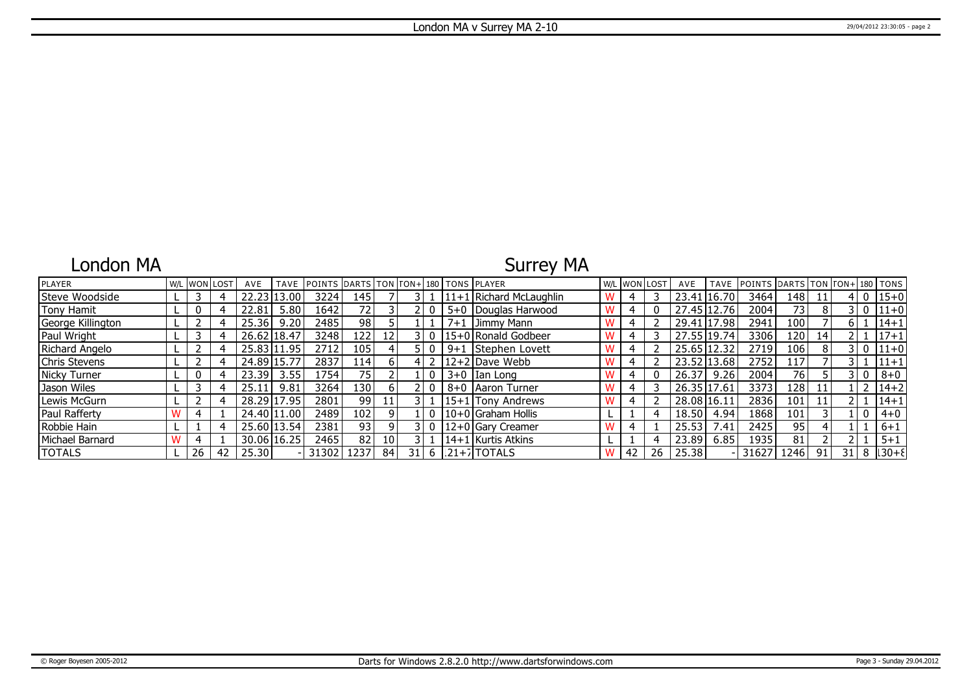### London MA

## Surrey MA

| PLAYER            |    | W/L IWON LOST | AVE   | TAVE          | POINTS DARTS TON TON+180 TONS PLAYER |                 |                 |      |          |         |                         | W/L WON LOST |    | AVE         | <b>TAVE</b> | POINTS DARTS TON TON+ 180 TONS |      |    |      |              |              |
|-------------------|----|---------------|-------|---------------|--------------------------------------|-----------------|-----------------|------|----------|---------|-------------------------|--------------|----|-------------|-------------|--------------------------------|------|----|------|--------------|--------------|
| Steve Woodside    |    |               |       | .00           | 3224                                 | 145             |                 |      |          |         | 11+1 Richard McLaughlin |              |    | 23.41       | 16.70       | 3464                           | 148  | 11 |      | $\mathbf{0}$ | $15 + 0$     |
| Tony Hamit        | 0  |               | 22.81 | 5.80          | 1642                                 | 72 <sub>1</sub> |                 |      |          |         | 5+0   Douglas Harwood   | 4            | 0  | 27.45 12.76 |             | 2004                           | 73   | 8  |      | $\Omega$     | $11+0$       |
| George Killington |    |               | 25.36 | 9.20,         | 2485                                 | 98              |                 |      |          | $7 + 1$ | Jimmy Mann              |              |    | 29.41 17.98 |             | 2941                           | 100  |    |      |              | $14 + 1$     |
| Paul Wright       |    |               | 26.62 | 18.47         | 3248                                 | 122             | 12              |      |          |         | 15+0 Ronald Godbeer     |              |    | 27.55 19.74 |             | 3306                           | 120  | 14 |      |              | $17 + 1$     |
| Richard Angelo    |    |               |       | 25.83 11.95   | 2712                                 | 105             |                 |      |          | $9 + 1$ | Stephen Lovett          | 4            |    | 25.65 12.32 |             | 2719                           | 106  | 8  |      | 0            | $11+0$       |
| Chris Stevens     |    |               | 24.89 | 15.77         | 2837                                 | 114             | h I             |      |          |         | 12+2 Dave Webb          |              |    | 23.52 13.68 |             | 2752                           | 117  |    |      |              | $11 + 1$     |
| Nicky Turner      | 0  |               | 23.39 | 3.55          | 1754                                 | 75              |                 |      |          |         | $3+0$ Ian Long          | 4            | 0  | 26.37       | 9.26        | 2004                           | 76   |    |      | 0            | $8 + 0$      |
| Jason Wiles       |    |               | 25.11 | 9.81          | 3264                                 | 130             | $\mathsf{h}$    |      |          |         | 8+0   Aaron Turner      | 4            |    | 26.35 17.61 |             | 3373                           | 128  | 11 |      |              | $14 + 2$     |
| Lewis McGurn      |    |               |       | 28.29 17.95   | 2801                                 | 991             | 11              |      |          |         | 15+1 Tony Andrews       | 4            |    | 28.08 16.11 |             | 2836                           | 101  | 11 |      |              | $14 + 1$     |
| Paul Rafferty     |    |               |       | 24.40 11.00   | 2489                                 | 102             | $\Omega$        |      | $\Omega$ |         | 10+0 Graham Hollis      |              |    | 18.50       | 4.94        | 1868                           | 101  |    |      | 0            | $4 + 0$      |
| Robbie Hain       |    |               |       | 25.60   13.54 | 2381                                 | 93              |                 |      | $\Omega$ |         | 12+0 Gary Creamer       |              |    | 25.53       | 7.41        | 2425                           | 95   |    |      |              | $6 + 1$      |
| Michael Barnard   |    |               |       | 30.06 16.25   | 2465                                 | 82              | 10 <sup>1</sup> |      |          |         | 14+1 Kurtis Atkins      |              |    | 23.89       | 6.85        | 1935                           | 81   |    |      |              | $5 + 1$      |
| <b>TOTALS</b>     | 26 | 42            | 25.30 |               | 31302                                | 1237 l          | 84              | 31 I |          |         | $6$  21+7 TOTALS        | 42           | 26 | 25.38       |             | 31627                          | 1246 | 91 | 31 I |              | $8   30 + 8$ |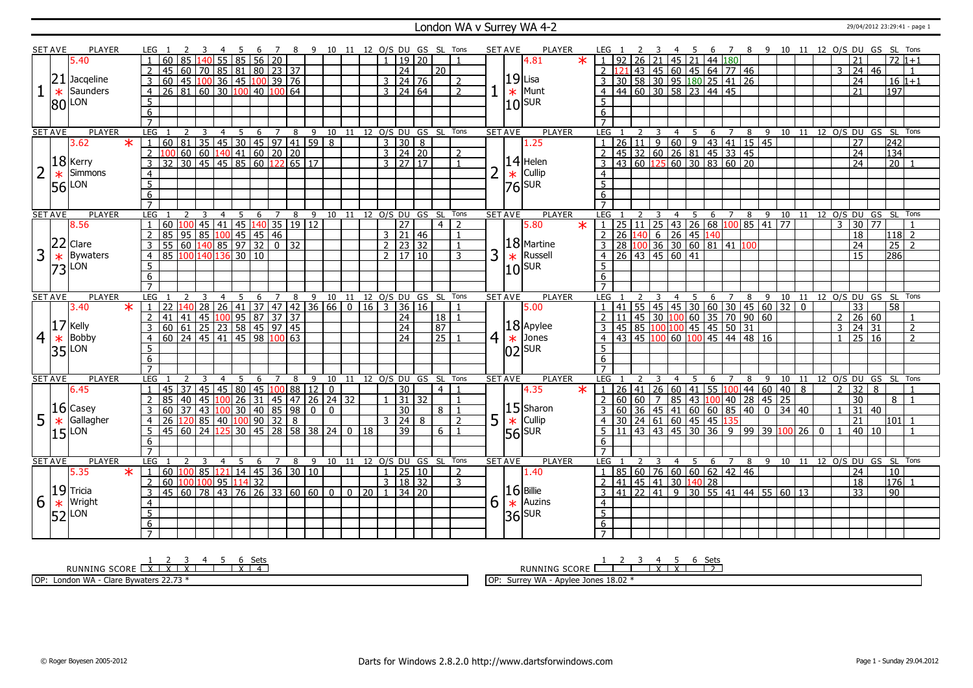#### London WA v Surrey WA 4-2 2012 23:29:41 - page 1

|   | SET AVE        | PLAYER          |                     |                                                                                                                   |                 |                |          |                  |                |                             |                | 10 11 12 O/S DU GS SL Tons   |                |                 |                         |                                   |       |                  |                |                | <b>SET AVE</b>        | PLAYER         |                                   |                                                                                                                                                                                                    |    |   |                |                 | 6                                                                                        |                |          |      |                               |                |                |                |                                  | 8 9 10 11 12 0/S DU GS SL Tons     |                                   |                |
|---|----------------|-----------------|---------------------|-------------------------------------------------------------------------------------------------------------------|-----------------|----------------|----------|------------------|----------------|-----------------------------|----------------|------------------------------|----------------|-----------------|-------------------------|-----------------------------------|-------|------------------|----------------|----------------|-----------------------|----------------|-----------------------------------|----------------------------------------------------------------------------------------------------------------------------------------------------------------------------------------------------|----|---|----------------|-----------------|------------------------------------------------------------------------------------------|----------------|----------|------|-------------------------------|----------------|----------------|----------------|----------------------------------|------------------------------------|-----------------------------------|----------------|
|   |                | 5.40            |                     | 60                                                                                                                |                 |                | 85       |                  | 56 20          |                             |                |                              |                |                 |                         | 19                                | l 20. |                  |                |                |                       | $\ast$<br>4.81 |                                   | 92                                                                                                                                                                                                 | 26 |   | 45             | 21              | 44 180                                                                                   |                |          |      |                               |                |                |                | 21                               |                                    | $72 \frac{1}{1} + 1$              |                |
|   |                |                 | 2                   | 60<br>45                                                                                                          |                 |                |          |                  |                | 70   85   81   80   23   37 |                |                              |                |                 |                         | $\overline{24}$                   |       | $\overline{20}$  |                |                |                       |                | $2 \overline{121}$                |                                                                                                                                                                                                    |    |   |                |                 | 43 45 60 45 64 77 46                                                                     |                |          |      |                               |                |                |                | 3   24   46                      |                                    |                                   |                |
|   | 21             | Jacqeline       | $\overline{3}$      |                                                                                                                   |                 |                |          |                  |                |                             |                |                              |                |                 |                         | $3 \mid 24 \mid 76$               |       |                  |                |                | $19$ Lisa             |                |                                   |                                                                                                                                                                                                    |    |   |                |                 |                                                                                          |                | 26       |      |                               |                |                |                | $\overline{24}$                  |                                    | $16 1+1$                          |                |
|   |                | Saunders        |                     | 100 45 100 36 45 100 39 76<br>26 81 60 30 100 40 100 64                                                           |                 |                |          |                  |                |                             |                |                              |                |                 |                         |                                   |       |                  | 2              |                |                       |                |                                   |                                                                                                                                                                                                    |    |   |                |                 |                                                                                          |                |          |      |                               |                |                |                |                                  |                                    |                                   |                |
|   | $\ast$         |                 | $\overline{4}$      |                                                                                                                   |                 |                |          |                  |                |                             |                |                              |                |                 |                         | $3 \mid 24 \mid 64$               |       |                  | $\overline{2}$ |                |                       | $\star$ Munt   | $\overline{4}$                    |                                                                                                                                                                                                    |    |   |                |                 |                                                                                          |                |          |      |                               |                |                |                | $\overline{21}$                  |                                    | 197                               |                |
|   |                | 80 LON          | $\overline{5}$      |                                                                                                                   |                 |                |          |                  |                |                             |                |                              |                |                 |                         |                                   |       |                  |                |                | $10$ sur              |                | $\overline{5}$                    |                                                                                                                                                                                                    |    |   |                |                 |                                                                                          |                |          |      |                               |                |                |                |                                  |                                    |                                   |                |
|   |                |                 | $6\overline{6}$     |                                                                                                                   |                 |                |          |                  |                |                             |                |                              |                |                 |                         |                                   |       |                  |                |                |                       |                | 6                                 |                                                                                                                                                                                                    |    |   |                |                 |                                                                                          |                |          |      |                               |                |                |                |                                  |                                    |                                   |                |
|   |                |                 | $\overline{7}$      |                                                                                                                   |                 |                |          |                  |                |                             |                |                              |                |                 |                         |                                   |       |                  |                |                |                       |                |                                   |                                                                                                                                                                                                    |    |   |                |                 |                                                                                          |                |          |      |                               |                |                |                |                                  |                                    |                                   |                |
|   | <b>SET AVE</b> | <b>PLAYER</b>   | LEG                 | 2                                                                                                                 | 3               | $\overline{4}$ | 5        | 6                | $\overline{7}$ | $\overline{\mathbf{8}}$     |                | 9 10 11 12 O/S DU GS SL Tons |                |                 |                         |                                   |       |                  |                |                | <b>SET AVE</b>        | <b>PLAYER</b>  | LEG                               |                                                                                                                                                                                                    |    | 3 | $\overline{4}$ | 5               | 6                                                                                        | $\overline{7}$ | 8        | $-9$ |                               |                |                |                |                                  | 10 11 12 O/S DU GS SL Tons         |                                   |                |
|   |                | 3.62<br>$\star$ |                     | 60 81                                                                                                             |                 |                |          |                  |                |                             |                | 35 45 30 45 97 41 59 8       |                |                 |                         | $3 \mid 30 \mid 8$                |       |                  |                |                |                       | 1.25           |                                   | 26                                                                                                                                                                                                 | 11 | 9 |                |                 | 43 41 15 45                                                                              |                |          |      |                               |                |                |                | $\overline{27}$                  |                                    | 242                               |                |
|   |                |                 | $\overline{2}$      |                                                                                                                   |                 |                |          |                  |                |                             |                |                              |                |                 |                         | $3 \mid 24 \mid 20$               |       |                  | 2              |                |                       |                |                                   |                                                                                                                                                                                                    |    |   |                |                 |                                                                                          |                |          |      |                               |                |                |                | $\overline{24}$                  |                                    | 134                               |                |
|   |                | $ 18 $ Kerry    | $\overline{3}$      | $\overline{32}$                                                                                                   |                 |                |          |                  |                |                             |                |                              |                |                 |                         | $3 \overline{)27} \overline{)17}$ |       |                  | $\mathbf{1}$   |                |                       | $14$ Helen     | $\overline{3}$                    | $\frac{1}{45}$ $\frac{32}{32}$ $\frac{60}{26}$ $\frac{26}{81}$ $\frac{81}{45}$ $\frac{33}{33}$ $\frac{45}{45}$<br>$\frac{43}{60}$ $\frac{60}{125}$ $\frac{60}{30}$ $\frac{30}{83}$ $\frac{60}{20}$ |    |   |                |                 |                                                                                          |                |          |      |                               |                |                |                | $\overline{24}$                  |                                    | $\overline{20}$                   |                |
|   | $\ast$         | Simmons         | $\overline{4}$      |                                                                                                                   |                 |                |          |                  |                |                             |                |                              |                |                 |                         |                                   |       |                  |                | $\overline{2}$ | $\ast$                | Cullip         | $\overline{4}$                    |                                                                                                                                                                                                    |    |   |                |                 |                                                                                          |                |          |      |                               |                |                |                |                                  |                                    |                                   |                |
|   | 56             | LON             | $\overline{5}$      |                                                                                                                   |                 |                |          |                  |                |                             |                |                              |                |                 |                         |                                   |       |                  |                |                | $ 76 $ <sub>SUR</sub> |                | $\overline{5}$                    |                                                                                                                                                                                                    |    |   |                |                 |                                                                                          |                |          |      |                               |                |                |                |                                  |                                    |                                   |                |
|   |                |                 | $\overline{6}$      |                                                                                                                   |                 |                |          |                  |                |                             |                |                              |                |                 |                         |                                   |       |                  |                |                |                       |                | 6                                 |                                                                                                                                                                                                    |    |   |                |                 |                                                                                          |                |          |      |                               |                |                |                |                                  |                                    |                                   |                |
|   |                |                 | $\overline{7}$      |                                                                                                                   |                 |                |          |                  |                |                             |                |                              |                |                 |                         |                                   |       |                  |                |                |                       |                | $\overline{7}$                    |                                                                                                                                                                                                    |    |   |                |                 |                                                                                          |                |          |      |                               |                |                |                |                                  |                                    |                                   |                |
|   | <b>SET AVE</b> | <b>PLAYER</b>   | LEG                 |                                                                                                                   |                 | $\overline{4}$ | -5       | 6                | $\overline{7}$ | - 8                         |                | 9 10 11 12 O/S DU GS SL Tons |                |                 |                         |                                   |       |                  |                |                | <b>SET AVE</b>        | <b>PLAYER</b>  | LEG                               |                                                                                                                                                                                                    |    |   | $\overline{4}$ | 5               |                                                                                          |                |          |      |                               |                |                |                |                                  | 6 7 8 9 10 11 12 0/S DU GS SL Tons |                                   |                |
|   |                | 8.56            | $\overline{1}$      | 60 100 45 41 45 140 35 19 12                                                                                      |                 |                |          |                  |                |                             |                |                              |                |                 |                         | 27                                |       | $4 \mid 2$       |                |                |                       | 5.80<br>$\ast$ | $\mathbf{1}$                      |                                                                                                                                                                                                    |    |   |                |                 |                                                                                          |                |          |      |                               |                |                |                | $3 \mid 30 \mid 77$              |                                    |                                   |                |
|   |                |                 | $\overline{2}$      | 85                                                                                                                |                 |                |          |                  |                |                             |                |                              |                |                 |                         | $3 \mid 21 \mid 46$               |       |                  | $\overline{1}$ |                |                       |                | $2 \mid 26$                       | 25 11 25 43 26 68 100 85 41 77<br>26 140 6 26 45 140<br>28 100 36 30 60 81 41 100<br>26 43 45 60 41                                                                                                |    |   |                |                 |                                                                                          |                |          |      |                               |                |                |                | 18                               |                                    | 118 2                             |                |
|   | 22             | Clare           | $\overline{3}$      | 55                                                                                                                |                 |                |          |                  |                |                             |                |                              |                |                 |                         | $2 \mid 23 \mid 32$               |       |                  | $\overline{1}$ |                |                       | $ 18 $ Martine |                                   |                                                                                                                                                                                                    |    |   |                |                 |                                                                                          |                |          |      |                               |                |                |                | 24                               |                                    | $\overline{25}$<br>$\overline{2}$ |                |
| 3 |                |                 |                     |                                                                                                                   | 100 140 136 30  |                |          | $\overline{10}$  |                |                             |                |                              |                |                 | $\overline{2}$          | 1710                              |       |                  | 3              | 3              |                       | Russell        |                                   |                                                                                                                                                                                                    |    |   |                |                 |                                                                                          |                |          |      |                               |                |                |                | $\overline{15}$                  |                                    |                                   |                |
|   | $\ast$         | <b>Bywaters</b> | $\overline{4}$      | 85                                                                                                                |                 |                |          |                  |                |                             |                |                              |                |                 |                         |                                   |       |                  |                |                | $\ast$                |                | $\overline{4}$                    |                                                                                                                                                                                                    |    |   |                |                 |                                                                                          |                |          |      |                               |                |                |                |                                  |                                    | 286                               |                |
|   | 73             | LON             | $\overline{5}$      |                                                                                                                   |                 |                |          |                  |                |                             |                |                              |                |                 |                         |                                   |       |                  |                |                | $10$ sur              |                | 5                                 |                                                                                                                                                                                                    |    |   |                |                 |                                                                                          |                |          |      |                               |                |                |                |                                  |                                    |                                   |                |
|   |                |                 | 6                   |                                                                                                                   |                 |                |          |                  |                |                             |                |                              |                |                 |                         |                                   |       |                  |                |                |                       |                | 6                                 |                                                                                                                                                                                                    |    |   |                |                 |                                                                                          |                |          |      |                               |                |                |                |                                  |                                    |                                   |                |
|   |                |                 | $\overline{7}$      |                                                                                                                   |                 |                |          |                  |                |                             |                |                              |                |                 |                         |                                   |       |                  |                |                |                       |                | $\overline{7}$                    |                                                                                                                                                                                                    |    |   |                |                 |                                                                                          |                |          |      |                               |                |                |                |                                  |                                    |                                   |                |
|   |                |                 |                     |                                                                                                                   |                 |                |          |                  |                |                             |                |                              |                |                 |                         |                                   |       |                  |                |                |                       |                |                                   |                                                                                                                                                                                                    |    |   |                |                 |                                                                                          |                |          |      |                               |                |                |                |                                  | 12 O/S DU GS SL Tons               |                                   |                |
|   | <b>SET AVE</b> | <b>PLAYER</b>   | LEG                 |                                                                                                                   |                 | $\overline{4}$ | 5        | 6                | 7              | 8                           | 9              | 10                           | 11             |                 | 12 O/S DU GS SL Tons    |                                   |       |                  |                |                | <b>SET AVE</b>        | <b>PLAYER</b>  | LEG                               |                                                                                                                                                                                                    |    |   | 4              | 5               | 6                                                                                        | $\overline{7}$ | 8        | 9    | 10                            | 11             |                |                |                                  |                                    |                                   |                |
|   |                | $\ast$<br>3.40  | $\overline{1}$      |                                                                                                                   |                 |                |          |                  |                |                             |                |                              | $\overline{0}$ | $\overline{16}$ | $\overline{\mathbf{3}}$ | 36 16                             |       |                  |                |                |                       | 5.00           |                                   |                                                                                                                                                                                                    |    |   |                |                 |                                                                                          |                |          |      | 32                            | $\overline{0}$ |                |                | $\overline{33}$                  |                                    | 58                                |                |
|   |                |                 | $\overline{2}$      |                                                                                                                   |                 |                |          |                  |                |                             |                |                              |                |                 |                         | $\overline{24}$                   |       | 18   1           |                |                |                       |                | $2 \mid 11$                       |                                                                                                                                                                                                    |    |   |                |                 |                                                                                          |                |          |      |                               |                |                |                | $2 \mid 26 \mid 60$              |                                    |                                   |                |
|   | 17             | Kelly           | $\overline{3}$      |                                                                                                                   |                 |                |          |                  |                |                             |                |                              |                |                 |                         | $\overline{24}$                   |       | $\sqrt{87}$      |                |                |                       | $18$ Apylee    | 3                                 |                                                                                                                                                                                                    |    |   |                |                 |                                                                                          |                |          |      |                               |                |                |                | $3 \mid 24 \mid 31$              |                                    |                                   | $\overline{2}$ |
| 4 | $\ast$         | Bobby           | $\overline{4}$      | 22 140 28 26 41 37 47 42 36 66<br>41 41 45 100 95 87 37 37<br>60 61 25 23 58 45 97 45<br>60 24 45 41 45 98 100 63 |                 |                |          |                  |                |                             |                |                              |                |                 |                         | 24                                |       | $\frac{1}{25}$ 1 |                | 4 <sup>1</sup> |                       | $\star$ Jones  | $\overline{4}$                    |                                                                                                                                                                                                    |    |   |                |                 |                                                                                          |                |          |      |                               |                |                |                | $1 \overline{)25} \overline{16}$ |                                    |                                   | $\overline{2}$ |
|   |                | LON             | $\overline{5}$      |                                                                                                                   |                 |                |          |                  |                |                             |                |                              |                |                 |                         |                                   |       |                  |                |                |                       |                | 5                                 | 41 55 45 45 30 60 30 45 60<br>11 45 30 100 60 35 70 90 60<br>45 85 100 100 45 45 50 31<br>43 45 100 60 100 45 44 48 16                                                                             |    |   |                |                 |                                                                                          |                |          |      |                               |                |                |                |                                  |                                    |                                   |                |
|   | 35             |                 | 6                   |                                                                                                                   |                 |                |          |                  |                |                             |                |                              |                |                 |                         |                                   |       |                  |                |                | $ 02 $ <sub>SUR</sub> |                | 6                                 |                                                                                                                                                                                                    |    |   |                |                 |                                                                                          |                |          |      |                               |                |                |                |                                  |                                    |                                   |                |
|   |                |                 | $\overline{7}$      |                                                                                                                   |                 |                |          |                  |                |                             |                |                              |                |                 |                         |                                   |       |                  |                |                |                       |                |                                   |                                                                                                                                                                                                    |    |   |                |                 |                                                                                          |                |          |      |                               |                |                |                |                                  |                                    |                                   |                |
|   | <b>SET AVE</b> | <b>PLAYER</b>   | LEG                 |                                                                                                                   |                 |                | -5       | 6                | $7^{\circ}$    | 8                           |                | 9 10 11 12 O/S DU GS SL Tons |                |                 |                         |                                   |       |                  |                |                | <b>SET AVE</b>        | <b>PLAYER</b>  | LEG                               |                                                                                                                                                                                                    |    |   | $\overline{4}$ | -5              | 6                                                                                        | $\overline{7}$ | 8        | 9    |                               |                |                |                |                                  | 10 11 12 O/S DU GS SL Tons         |                                   |                |
|   |                | 6.45            | $\overline{1}$      | 45<br>37                                                                                                          | 45              |                |          |                  |                |                             |                | $145$ 80 45 100 88 12 0      |                |                 |                         | $\overline{30}$                   |       | 4 <sup>1</sup>   | $\overline{1}$ |                |                       | 4.35<br>$\ast$ | $\mathbf{1}$                      | <b>26</b>                                                                                                                                                                                          | 41 |   |                | 26 60 41        | 55 100 44 60 40                                                                          |                |          |      |                               | $\overline{8}$ |                |                | $2 \mid 32 \mid$                 | $\overline{\mathbf{r}}$            |                                   |                |
|   |                |                 |                     | 85<br>40                                                                                                          | 45              |                | $100$ 26 |                  |                |                             |                | 31   45   47   26   24   32  |                |                 |                         | $31 \overline{)32}$               |       |                  |                |                |                       |                |                                   | 60                                                                                                                                                                                                 | 60 |   |                |                 | 85 43 100 40                                                                             |                | 28 45 25 |      |                               |                |                |                | 30                               |                                    | 8                                 |                |
|   |                | $16$ Casey      | $\overline{3}$      | $\overline{37}$<br>60                                                                                             | $\overline{43}$ |                |          |                  |                | 100 30 40 85 98             | $\overline{0}$ | $\mathbf{0}$                 |                |                 |                         | $\overline{30}$                   |       | 8                |                |                |                       | $15$ Sharon    |                                   | 60                                                                                                                                                                                                 |    |   |                |                 |                                                                                          |                |          |      | 36 45 41 60 60 85 40 0 34 40  |                |                |                | $31 \mid 40$                     |                                    |                                   |                |
|   |                | Gallagher       | $\overline{4}$      | 26                                                                                                                |                 |                |          |                  |                |                             |                |                              |                |                 |                         |                                   |       |                  | $\overline{2}$ |                |                       | Cullip         | $\overline{4}$                    | 30 <sup>°</sup>                                                                                                                                                                                    |    |   |                |                 |                                                                                          |                |          |      |                               |                |                |                | $\overline{21}$                  |                                    | l101 l                            |                |
| 5 | $\ast$         |                 |                     |                                                                                                                   |                 | 125            |          | 120 85 40 100 90 |                | $32 \mid 8$                 |                |                              |                | 0 18            |                         | 3   24   8                        |       |                  |                | 5              | $\ast$                |                |                                   | 11                                                                                                                                                                                                 |    |   |                |                 | $\boxed{24}$ 61 60 45 45 135                                                             |                |          |      |                               |                | 0 <sup>1</sup> | $\overline{1}$ | 40   10                          |                                    |                                   |                |
|   | 15             | LON             | 5                   | 45 60                                                                                                             | $\sqrt{24}$     |                |          |                  |                |                             |                | 30 45 28 58 38 24            |                |                 |                         | $\overline{39}$                   |       | 6 1              |                |                | $ 56 $ <sub>SUR</sub> |                | $\overline{5}$                    |                                                                                                                                                                                                    |    |   |                |                 | $\frac{1}{43}$ $\frac{1}{43}$ $\frac{1}{45}$ $\frac{1}{30}$ $\frac{1}{36}$ $\frac{1}{9}$ |                |          |      | $99 \mid 39 \mid 100 \mid 26$ |                |                |                |                                  |                                    |                                   |                |
|   |                |                 | 6                   |                                                                                                                   |                 |                |          |                  |                |                             |                |                              |                |                 |                         |                                   |       |                  |                |                |                       |                | 6                                 |                                                                                                                                                                                                    |    |   |                |                 |                                                                                          |                |          |      |                               |                |                |                |                                  |                                    |                                   |                |
|   |                |                 | $\overline{7}$      | $\mathcal{P}$                                                                                                     |                 |                |          |                  |                |                             |                |                              |                |                 |                         |                                   |       |                  |                |                |                       |                | $\overline{7}$                    |                                                                                                                                                                                                    |    | 3 |                |                 |                                                                                          |                |          |      |                               |                |                |                |                                  |                                    |                                   |                |
|   | <b>SET AVE</b> | <b>PLAYER</b>   | <b>LEG</b>          |                                                                                                                   | 3               | $\overline{4}$ | 5        | 6                | $7^{\circ}$    | 8                           |                | 9 10 11 12 O/S DU GS SL Tons |                |                 |                         |                                   |       |                  |                |                | <b>SET AVE</b>        | PLAYER         | LEG                               |                                                                                                                                                                                                    |    |   | $\overline{4}$ | -5              | 6                                                                                        | $\overline{7}$ | 8        | 9    | 10                            | 11             |                |                |                                  | 12 O/S DU GS SL Tons               |                                   |                |
|   |                | 5.35<br>$\ast$  | $\perp$             | 60 100 85 121 14 45 36 30 10                                                                                      |                 |                |          |                  |                |                             |                |                              |                |                 |                         | 1 25 10                           |       |                  | 2              |                |                       | 1.40           | -1                                | 85                                                                                                                                                                                                 |    |   |                |                 | 60   76   60   60   62   42   46                                                         |                |          |      |                               |                |                |                | 24                               |                                    | 10                                |                |
|   |                |                 | 2                   | 60                                                                                                                | 100 100 95 114  |                |          | $\overline{32}$  |                |                             |                |                              |                |                 |                         | 3   18   32                       |       |                  | 3              |                |                       |                | 2                                 | 41                                                                                                                                                                                                 |    |   |                | 45 41 30 140 28 |                                                                                          |                |          |      |                               |                |                |                | 18                               |                                    | 176                               |                |
|   |                | $ 19 $ Tricia   | $\overline{3}$      | 45 60 78 43 76 26 33 60 60 0 0 20 1 34 20                                                                         |                 |                |          |                  |                |                             |                |                              |                |                 |                         |                                   |       |                  |                |                | $ 16 $ Billie         |                | $\overline{3}$                    | 41 22 41 9 30 55 41 44 55 60 13                                                                                                                                                                    |    |   |                |                 |                                                                                          |                |          |      |                               |                |                |                | $\overline{33}$                  |                                    | 90                                |                |
| 6 | $\ast$         | Wright          | $\overline{4}$      |                                                                                                                   |                 |                |          |                  |                |                             |                |                              |                |                 |                         |                                   |       |                  |                | 6              | $\ast$                | Auzins         | $\overline{4}$                    |                                                                                                                                                                                                    |    |   |                |                 |                                                                                          |                |          |      |                               |                |                |                |                                  |                                    |                                   |                |
|   | 52             | LON             | $\overline{5}$      |                                                                                                                   |                 |                |          |                  |                |                             |                |                              |                |                 |                         |                                   |       |                  |                |                | $ 36 $ <sub>SUR</sub> |                | $\overline{5}$                    |                                                                                                                                                                                                    |    |   |                |                 |                                                                                          |                |          |      |                               |                |                |                |                                  |                                    |                                   |                |
|   |                |                 | 6<br>$\overline{7}$ |                                                                                                                   |                 |                |          |                  |                |                             |                |                              |                |                 |                         |                                   |       |                  |                |                |                       |                | $6\overline{6}$<br>$\overline{7}$ |                                                                                                                                                                                                    |    |   |                |                 |                                                                                          |                |          |      |                               |                |                |                |                                  |                                    |                                   |                |

RUNNING SCORE <u>| X | X | X | 4 | 5 | 6 Sets</u><br>RUNNING SCORE <u>| X | X | X | 1 | X | 4</u>

OP: London WA - Clare Bywaters 22.73 \*

RUNNING SCORE 1 2 3 4 X 5 X 6 Sets 2

OP: Surrey WA - Apylee Jones 18.02 \*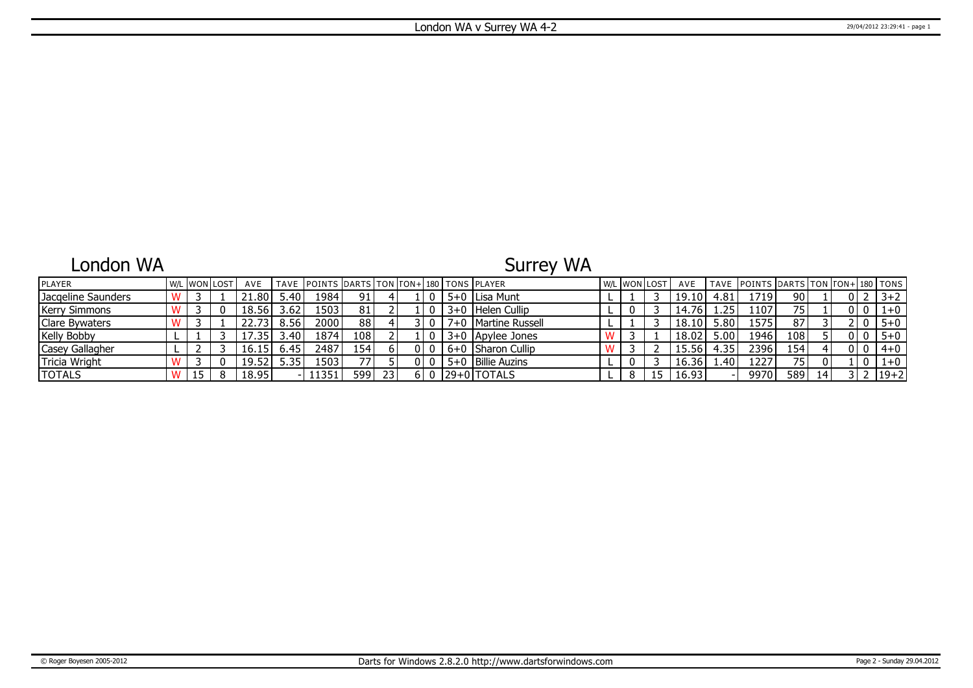### London WA

# Surrey WA

| <b>IPLAYER</b>        |  | W/L IWONILOST | AVE   |                | TAVE IPOINTS IDARTS ITON ITON+1180 ITONS IPLAYER |                 |    |       |                       | W/L WON LOST |    | AVE   |      | TAVE POINTS DARTS TON TON+ 180 TONS |      |              |     |                |          |
|-----------------------|--|---------------|-------|----------------|--------------------------------------------------|-----------------|----|-------|-----------------------|--------------|----|-------|------|-------------------------------------|------|--------------|-----|----------------|----------|
| Jacgeline Saunders    |  |               | 21.80 | 5.40           | 1984                                             | 91 <sub>1</sub> |    |       | 5+0 Lisa Munt         |              |    | 19.10 | 4.81 | 1719                                | 90   |              | 0 I |                | $3+2$    |
| <b>Kerry Simmons</b>  |  |               | 18.56 | 3.62           | 1503                                             | 81              |    |       | 3+0 Helen Cullip      |              |    | 14.76 | .25  | 1107                                | 75 I |              |     | 010            | $1+0$    |
| <b>Clare Bywaters</b> |  |               |       | $8.56^{\circ}$ | 2000                                             | 88              |    |       | 7+0   Martine Russell |              |    | 18.10 | 5.80 | 1575                                | 87   |              |     |                | $5 + 0$  |
| <b>Kelly Bobby</b>    |  |               | 17.35 | 3.40           | 1874                                             | 108             |    |       | 3+0   Apylee Jones    |              |    | 18.02 | 5.00 | 1946                                | 108  |              |     |                | $5 + 0$  |
| Casey Gallagher       |  |               | 16.15 | 6.45           | 2487                                             | 154'            |    |       | 6+0 Sharon Cullip     |              |    | 15.56 | 4.35 | 2396                                | 154  |              |     | 0 <sub>0</sub> | $4 + 0$  |
| Tricia Wright         |  |               | 19.52 | 5.35           | 1503                                             | 77 I            |    |       | 5+0 Billie Auzins     |              |    | 16.36 | .40  | 1227                                | 75   |              |     |                | $1+0$    |
| <b>TOTALS</b>         |  |               | 18.95 |                | 11351                                            | 599 l           | 23 | 6 I O | 129+01TOTALS          |              | 15 | 16.93 |      | 9970                                | 589  | $14^{\circ}$ |     |                | $19 + 2$ |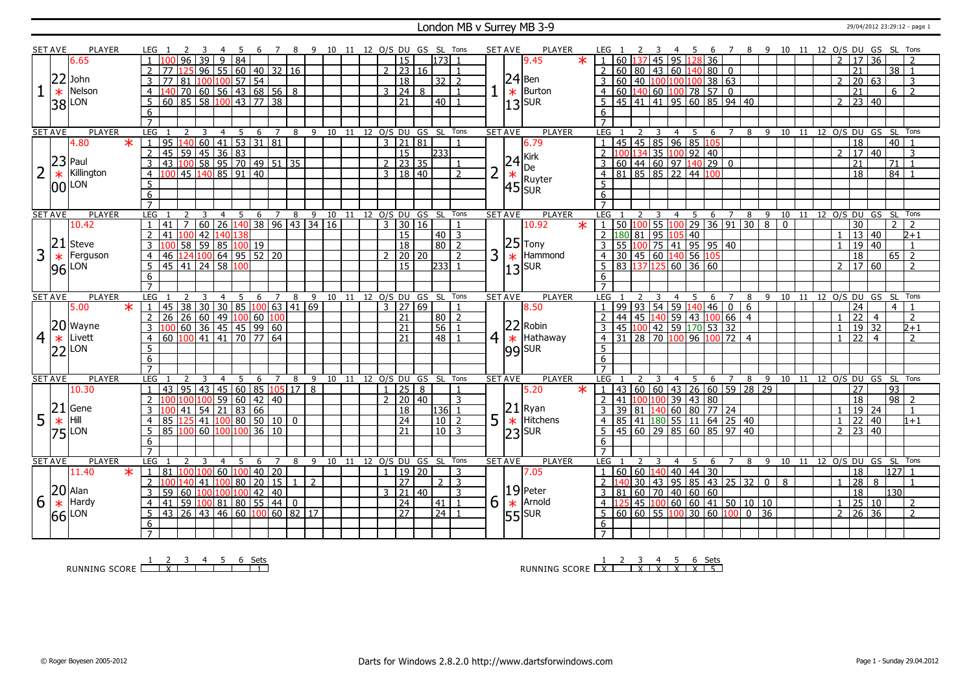#### London MB v Surrey MB 3-9 29/04/2012 23:29:12 - page 1

|                | <b>SET AVE</b> | <b>PLAYER</b>       | LEG                 |                                                                        |                                      |                 | -5                | -6<br>$\overline{7}$ |                                    | 8 9 10 11 12 O/S DU GS SL Tons |       |    |             |                            |                            |                 |                     | <b>SET AVE</b> |                | PLAYER                |         |                     |                  |   | 45             |                                                    | 6       |                |                                               |                                            | 7 8 9 10 11 12 O/S DU GS SL Tons |  |                |                                               |                       |    |                      |                     |
|----------------|----------------|---------------------|---------------------|------------------------------------------------------------------------|--------------------------------------|-----------------|-------------------|----------------------|------------------------------------|--------------------------------|-------|----|-------------|----------------------------|----------------------------|-----------------|---------------------|----------------|----------------|-----------------------|---------|---------------------|------------------|---|----------------|----------------------------------------------------|---------|----------------|-----------------------------------------------|--------------------------------------------|----------------------------------|--|----------------|-----------------------------------------------|-----------------------|----|----------------------|---------------------|
|                |                | 6.65                |                     | 96                                                                     | 39<br>9                              | $\overline{84}$ |                   |                      |                                    |                                |       |    |             | 15                         |                            | 1731            |                     |                |                | 9.45                  | $\star$ |                     | 60 <sub>1</sub>  |   |                | 137 45 95 128 36                                   |         |                |                                               |                                            |                                  |  | $\overline{2}$ | l 17 l                                        | 36                    |    |                      |                     |
|                |                |                     |                     |                                                                        | 96   55   60   40   32   16          |                 |                   |                      |                                    |                                |       |    |             | $2 \mid 23 \mid 16$        |                            |                 |                     |                |                |                       |         |                     |                  |   |                | 60   80   43   60   140   80   0                   |         |                |                                               |                                            |                                  |  |                | 21                                            |                       |    | 38<br>$\overline{1}$ |                     |
|                |                | $22$ John           |                     |                                                                        |                                      |                 |                   |                      |                                    |                                |       |    |             |                            |                            |                 | $\overline{z}$      |                |                | $24$ Ben              |         |                     |                  |   |                |                                                    |         |                |                                               |                                            |                                  |  |                |                                               |                       |    |                      |                     |
|                |                | Nelson              |                     | 81                                                                     | 100 100 57 54                        |                 |                   |                      |                                    |                                |       |    |             | $\overline{18}$            |                            | 32              |                     |                |                | Burton                |         |                     |                  |   |                | 60 40 100 100 100                                  | 38   63 |                |                                               |                                            |                                  |  |                |                                               | 20 63                 |    |                      | 3                   |
|                | $\ast$         |                     | 4                   |                                                                        | 70 60 56 43 68 56 8                  |                 |                   |                      |                                    |                                |       |    |             | 3   24                     | 8                          |                 |                     |                | $\ast$         |                       |         | $\overline{4}$      |                  |   |                | 60 140 60 100 78 57                                |         | $\bf{0}$       |                                               |                                            |                                  |  |                | 21                                            |                       |    | 6                    | $\overline{2}$      |
|                |                | 38 LON              | -5                  | 60 85 58 100 43 77 38                                                  |                                      |                 |                   |                      |                                    |                                |       |    |             | $\overline{21}$            |                            | 40 <sup>1</sup> |                     |                |                | $ 13 $ <sub>SUR</sub> |         | 5                   |                  |   |                | 45 41 41 95 60 85 94 40                            |         |                |                                               |                                            |                                  |  | $\overline{2}$ | 23 40                                         |                       |    |                      |                     |
|                |                |                     | 6                   |                                                                        |                                      |                 |                   |                      |                                    |                                |       |    |             |                            |                            |                 |                     |                |                |                       |         | 6                   |                  |   |                |                                                    |         |                |                                               |                                            |                                  |  |                |                                               |                       |    |                      |                     |
|                |                |                     | $\overline{7}$      |                                                                        |                                      |                 |                   |                      |                                    |                                |       |    |             |                            |                            |                 |                     |                |                |                       |         | $\overline{7}$      |                  |   |                |                                                    |         |                |                                               |                                            |                                  |  |                |                                               |                       |    |                      |                     |
|                | <b>SET AVE</b> | <b>PLAYER</b>       | LEG                 |                                                                        | 3<br>$\overline{4}$                  |                 | 5                 | 6<br>$7\overline{ }$ | 8                                  | 9                              | 10    | 11 |             |                            | 12 O/S DU GS SL Tons       |                 |                     | <b>SET AVE</b> |                | <b>PLAYER</b>         |         | <b>LEG</b>          |                  |   | 4              | 5                                                  | 6       | $\overline{7}$ | 8                                             | $9 \overline{10}$                          |                                  |  |                | 11 12 0/S DU GS SL Tons                       |                       |    |                      |                     |
|                |                | 4.80<br>$\ast$      | $\cdot$ j $\cdot$   |                                                                        |                                      |                 |                   |                      |                                    |                                |       |    |             | 3   21   81                |                            |                 | $\overline{1}$      |                |                | 6.79                  |         | $\overline{1}$      |                  |   |                | 45 45 85 96 85 105                                 |         |                |                                               |                                            |                                  |  |                | 18                                            |                       |    | 40                   |                     |
|                |                |                     | 2                   |                                                                        |                                      |                 |                   |                      |                                    |                                |       |    |             | 15                         |                            | 233             |                     |                |                |                       |         |                     | 100              |   |                | <mark>134</mark> 35 <mark>100</mark> 92 40         |         |                |                                               |                                            |                                  |  | $\mathcal{L}$  |                                               | 17 40                 |    |                      | 3                   |
|                |                | $23$ Paul           | $\overline{3}$      |                                                                        |                                      |                 |                   |                      |                                    |                                |       |    |             | $2 \mid 23 \mid 35$        |                            |                 | $\mathbf{1}$        |                |                |                       |         |                     |                  |   |                | 60  44   60   97   140   29   0                    |         |                |                                               |                                            |                                  |  |                | 21                                            |                       | 71 |                      |                     |
| 2              | $\ast$         | Killington          | $\overline{4}$      | 45 140 85 91 40                                                        |                                      |                 |                   |                      |                                    |                                |       |    |             | 3   18   40                |                            |                 | $\mathcal{L}$       | $\overline{2}$ | $\frac{24}{*}$ | Kirk<br>De<br>Ruyter  |         | $\overline{4}$      |                  |   |                | 81 85 85 22 44 100                                 |         |                |                                               |                                            |                                  |  |                | $\overline{18}$                               |                       |    | 84                   |                     |
|                |                | $ 00 $ LON          | $5\overline{)}$     |                                                                        |                                      |                 |                   |                      |                                    |                                |       |    |             |                            |                            |                 |                     |                |                | $45$ sur              |         | $\overline{5}$      |                  |   |                |                                                    |         |                |                                               |                                            |                                  |  |                |                                               |                       |    |                      |                     |
|                |                |                     | $\overline{6}$      |                                                                        |                                      |                 |                   |                      |                                    |                                |       |    |             |                            |                            |                 |                     |                |                |                       |         | 6                   |                  |   |                |                                                    |         |                |                                               |                                            |                                  |  |                |                                               |                       |    |                      |                     |
|                |                |                     | $\overline{7}$      |                                                                        |                                      |                 |                   |                      |                                    |                                |       |    |             |                            |                            |                 |                     |                |                |                       |         | $\overline{7}$      |                  |   |                |                                                    |         |                |                                               |                                            |                                  |  |                |                                               |                       |    |                      |                     |
|                | <b>SET AVE</b> | <b>PLAYER</b>       | LEG                 |                                                                        | $\overline{4}$                       |                 | - 5               |                      | 6 7 8 9 10 11 12 0/S DU GS SL Tons |                                |       |    |             |                            |                            |                 |                     | <b>SET AVE</b> |                | <b>PLAYER</b>         |         | LEG                 |                  |   |                | 4 5                                                |         |                | 6 7 8 9                                       |                                            | 10 11 12 0/S DU GS SL            |  |                |                                               |                       |    |                      | Tons                |
|                |                | 10.42               |                     | 41                                                                     | 60 26 140 38 96 43 34 16             |                 |                   |                      |                                    |                                |       |    |             | 3   30   16                |                            |                 |                     |                |                | 10.92                 | $\ast$  |                     |                  |   |                |                                                    |         |                | 50 100 55 100 29 36 91 30 8                   |                                            | $\overline{0}$                   |  |                | 30                                            |                       |    |                      |                     |
|                |                |                     |                     |                                                                        | 42 140 138                           |                 |                   |                      |                                    |                                |       |    |             | $\overline{15}$            |                            | 40              | $\overline{3}$      |                |                |                       |         | 2                   | 180 81 95 105 40 |   |                |                                                    |         |                |                                               |                                            |                                  |  |                |                                               | $\overline{13}$ 40    |    |                      | $\sqrt{2+1}$        |
|                | 21             | Steve               | 3                   | 58                                                                     | 59   85   100   19                   |                 |                   |                      |                                    |                                |       |    |             | 18                         |                            | $\overline{80}$ | $\overline{2}$      |                |                | $ 25 $ Tony           |         |                     |                  |   |                | 55 100 75 41 95 95 40                              |         |                |                                               |                                            |                                  |  |                |                                               | 19 40                 |    |                      | -1                  |
| 3              | $\ast$         | Ferguson            | $\overline{4}$      | 124 100 64 95 52 20<br>46                                              |                                      |                 |                   |                      |                                    |                                |       |    |             | $2 \ 20 \ 20$              |                            |                 | $\overline{2}$      | 3              |                | $\star$ Hammond       |         | $\overline{4}$      |                  |   |                | 30 45 60 140 56 105                                |         |                |                                               |                                            |                                  |  |                | $\overline{18}$                               |                       |    | $65$   2             |                     |
|                |                | $96$ <sup>LON</sup> | 5                   | 45 41 24 58 100                                                        |                                      |                 |                   |                      |                                    |                                |       |    |             | 15 <sub>1</sub>            |                            | 2331            |                     |                |                | $ 13 $ <sub>SUR</sub> |         | 5                   |                  |   |                | 83 137 125 60 36 60                                |         |                |                                               |                                            |                                  |  | $\overline{2}$ |                                               | $17 60$               |    |                      | $\mathcal{L}$       |
|                |                |                     | 6                   |                                                                        |                                      |                 |                   |                      |                                    |                                |       |    |             |                            |                            |                 |                     |                |                |                       |         | 6                   |                  |   |                |                                                    |         |                |                                               |                                            |                                  |  |                |                                               |                       |    |                      |                     |
|                |                |                     | $\overline{7}$      |                                                                        |                                      |                 |                   |                      |                                    |                                |       |    |             |                            |                            |                 |                     |                |                |                       |         | $\overline{7}$      |                  |   |                |                                                    |         |                |                                               |                                            |                                  |  |                |                                               |                       |    |                      |                     |
|                | <b>SET AVE</b> | <b>PLAYER</b>       |                     |                                                                        |                                      |                 | -5                |                      |                                    |                                |       |    |             |                            |                            |                 |                     |                |                |                       |         |                     |                  |   |                |                                                    |         |                |                                               |                                            |                                  |  |                |                                               | 10 11 12 0/S DU GS SL |    |                      | Tons                |
|                |                |                     | LEG                 |                                                                        | 3<br>4                               |                 |                   | 6                    | 8                                  | $\overline{9}$                 |       |    |             | 10 11 12 O/S DU GS SL Tons |                            |                 |                     |                | <b>SET AVE</b> | <b>PLAYER</b>         |         | <b>LEG</b>          |                  |   | $\overline{4}$ | 5                                                  | 6       | 7              | 8                                             | -9                                         |                                  |  |                |                                               |                       |    |                      |                     |
|                |                | 5.00<br>$\star$     | $\mathbf{1}$        |                                                                        |                                      |                 |                   | $\overline{Z}$       |                                    |                                |       |    |             | $3 \mid 27 \mid 69$        |                            |                 |                     |                |                | 8.50                  |         |                     |                  |   |                | 99   93   54   59   140   46   0                   |         |                | 6                                             |                                            |                                  |  |                | 24                                            |                       |    | $\overline{4}$       |                     |
|                |                |                     | 2                   | $\frac{45}{38}$ 30 30 30 85 100 63 41 69                               |                                      |                 |                   |                      |                                    |                                |       |    |             | 21                         |                            | 80 <sup>1</sup> | $\overline{2}$      |                |                |                       |         | $\overline{z}$      |                  |   |                |                                                    |         |                | $\overline{4}$                                |                                            |                                  |  |                | 22                                            | $\overline{4}$        |    |                      | $\overline{2}$      |
|                |                | 20 Wayne            | $\overline{3}$      |                                                                        |                                      |                 |                   |                      |                                    |                                |       |    |             | $\overline{21}$            |                            | 56              |                     |                |                | $ 22 $ Robin          |         | 3                   |                  |   |                | 44 45 140 59 43 100 66                             |         |                |                                               |                                            |                                  |  | $\overline{1}$ |                                               | 19 32                 |    |                      | $2 + 1$             |
|                | $\ast$         | Livett              | $\overline{4}$      |                                                                        |                                      |                 |                   |                      |                                    |                                |       |    |             | 21                         |                            | 48   1          |                     |                |                |                       |         | $\overline{4}$      |                  |   |                | 45 100 42 59 170 53 32<br>31 28 70 100 96 100 72 4 |         |                |                                               |                                            |                                  |  | $\mathbf{1}$   | $\overline{2}$                                | $\overline{4}$        |    |                      | $\overline{2}$      |
| $\overline{4}$ |                |                     | 5                   | 100 60 36 45 45 9 60<br>100 60 36 45 45 99 60<br>60 100 41 41 70 77 64 |                                      |                 |                   |                      |                                    |                                |       |    |             |                            |                            |                 |                     | $\overline{4}$ |                | $\star$ Hathaway      |         | 5                   |                  |   |                |                                                    |         |                |                                               |                                            |                                  |  |                |                                               |                       |    |                      |                     |
|                |                | $ 22 $ LON          | $6\overline{6}$     |                                                                        |                                      |                 |                   |                      |                                    |                                |       |    |             |                            |                            |                 |                     |                |                | $ 99 $ SUR            |         | 6                   |                  |   |                |                                                    |         |                |                                               |                                            |                                  |  |                |                                               |                       |    |                      |                     |
|                |                |                     |                     |                                                                        |                                      |                 |                   |                      |                                    |                                |       |    |             |                            |                            |                 |                     |                |                |                       |         |                     |                  |   |                |                                                    |         |                |                                               |                                            |                                  |  |                |                                               |                       |    |                      |                     |
|                | <b>SET AVE</b> | <b>PLAYER</b>       | LEG                 |                                                                        | 3<br>$\overline{4}$                  |                 | 5                 | 6<br>$7^{\circ}$     | 8                                  | 9                              |       |    |             |                            | 10 11 12 O/S DU GS SL Tons |                 |                     | <b>SET AVE</b> |                | <b>PLAYER</b>         |         | <b>LEG</b>          |                  | 3 |                | 4 5                                                |         | 6 7            | 8                                             | - 9                                        | 10 11 12 O/S DU GS SL Tons       |  |                |                                               |                       |    |                      |                     |
|                |                | 10.30               |                     | 43<br>95                                                               | 43                                   |                 | 45 60 85 105      |                      | $\overline{17}$                    | 8                              |       |    | $1 \mid 25$ |                            | 8                          |                 |                     |                |                | 5.20                  |         |                     |                  |   |                |                                                    |         |                | 43 60 60 43 26 60 59 28 29                    |                                            |                                  |  |                | 27                                            |                       | 93 |                      |                     |
|                |                |                     |                     |                                                                        |                                      |                 | 59   60   42   40 |                      |                                    |                                |       |    |             | $2 \mid 20 \mid 40$        |                            |                 | 3                   |                |                |                       |         |                     | 41               |   |                | 100 100 39 43 80                                   |         |                |                                               |                                            |                                  |  |                | 18                                            |                       |    | $98$   2             |                     |
|                |                | Gene                | 3                   |                                                                        |                                      |                 |                   |                      |                                    |                                |       |    |             | 18                         |                            | 136 1           |                     |                |                |                       |         |                     |                  |   |                | 39 81 140 60 80 77 24                              |         |                |                                               |                                            |                                  |  | $\mathbf{1}$   |                                               | $19$ 24               |    |                      | $\mathbf{1}$        |
|                | 21             | Hill                | $\overline{4}$      | 125                                                                    | $41 \mid 54 \mid 21 \mid 83 \mid 66$ |                 |                   |                      |                                    |                                |       |    |             |                            |                            |                 | $\overline{2}$      |                |                | $ 21 $ Ryan           |         | $\overline{4}$      |                  |   |                |                                                    |         |                |                                               |                                            |                                  |  | $\mathbf{1}$   |                                               |                       |    |                      | $1+1$               |
| 5              | $\ast$         |                     | -5                  |                                                                        | $141$ 100 80 50 10 0                 |                 |                   |                      |                                    |                                |       |    |             | 24<br>21                   |                            | 10<br>$101$ 3   |                     | 5              |                | $\star$ Hitchens      |         | .5                  |                  |   |                | 85 41 180 55 11 64 25 40                           |         |                |                                               |                                            |                                  |  |                | $2 \mid 23 \mid 40$                           | 22   40               |    |                      |                     |
|                |                | $ 75 $ LON          |                     | 85 100 60 100 100 36 10                                                |                                      |                 |                   |                      |                                    |                                |       |    |             |                            |                            |                 |                     |                |                | $ 23 $ <sub>SUR</sub> |         |                     |                  |   |                | 45 60 29 85 60 85 97 40                            |         |                |                                               |                                            |                                  |  |                |                                               |                       |    |                      |                     |
|                |                |                     | 6<br>$\overline{7}$ |                                                                        |                                      |                 |                   |                      |                                    |                                |       |    |             |                            |                            |                 |                     |                |                |                       |         | 6<br>$\overline{7}$ |                  |   |                |                                                    |         |                |                                               |                                            |                                  |  |                |                                               |                       |    |                      |                     |
|                |                | PLAYER              |                     | LEG 1<br>$\mathcal{L}$                                                 | $\overline{4}$<br>-3                 |                 | - 5<br>6          | $7^{\circ}$          | 8                                  | - 9                            | 10 11 |    |             |                            |                            |                 |                     |                |                | <b>PLAYER</b>         |         | LEG                 |                  |   | $\overline{4}$ | 5 <sup>5</sup>                                     | 6       | $\overline{7}$ | 8                                             | -9                                         | 10 11 12 0/S DU GS SL Tons       |  |                |                                               |                       |    |                      |                     |
|                | <b>SET AVE</b> |                     |                     | 100 100                                                                |                                      |                 |                   |                      |                                    |                                |       |    |             |                            | 12 O/S DU GS SL Tons       |                 |                     | <b>SET AVE</b> |                |                       |         | $\mathbf{1}$        |                  |   |                |                                                    |         |                |                                               |                                            |                                  |  |                |                                               |                       |    |                      |                     |
|                |                | 11.40<br>$\ast$     | $\vert 1 \vert$     | 81<br>100                                                              |                                      | 60 100          |                   | 40 20                | 1                                  |                                |       |    |             | 1   19   20                |                            |                 | 3<br>$\overline{3}$ |                |                | 7.05                  |         |                     | 60 60 140<br>140 |   |                | 40 44 30                                           |         |                |                                               |                                            |                                  |  | $\overline{1}$ | 18                                            | 8                     |    | 127 1                |                     |
|                |                |                     | $\overline{2}$      |                                                                        | 140 41 100 80 20 15                  |                 |                   |                      |                                    | 2                              |       |    |             | $\overline{27}$            |                            | 2 <sup>1</sup>  | 3                   |                |                |                       |         |                     |                  |   |                |                                                    |         |                |                                               | $30   43   95   85   43   25   32   0   8$ |                                  |  |                | 28                                            |                       |    |                      |                     |
|                |                | $ 20 $ Alan         | $\overline{3}$      | 60   100   100   100   42<br>59                                        |                                      |                 |                   | $ 40\rangle$         |                                    |                                |       |    |             | $3 \mid 21 \mid 40$        |                            |                 | $\overline{1}$      |                |                | $ 19 $ Peter          |         |                     |                  |   |                | 81   60   70   40   60   60                        |         |                |                                               |                                            |                                  |  |                | $\overline{18}$                               |                       |    | 130                  |                     |
| 6              | $\ast$         | Hardy               | $\overline{4}$      | 59 100 81 80 55 44 0<br>41                                             |                                      |                 |                   |                      |                                    |                                |       |    |             | $\overline{24}$            |                            | 41              |                     | 6              | $\ast$         | Arnold                |         | $\overline{4}$      |                  |   |                |                                                    |         |                | 125 45 100 60 60 41 50 10 10                  |                                            |                                  |  |                |                                               |                       |    |                      | 2<br>$\overline{2}$ |
|                | 66             | LON                 | 5                   | 43 26 43 46 60 100 60 82 17                                            |                                      |                 |                   |                      |                                    |                                |       |    |             | $\overline{27}$            |                            | $\overline{24}$ |                     |                |                | 55 SUR                |         |                     |                  |   |                |                                                    |         |                | $60   60   55   100   30   60   100   0   36$ |                                            |                                  |  |                | $\frac{1}{2}$ $\frac{25}{26}$ $\frac{10}{36}$ |                       |    |                      |                     |
|                |                |                     | 6                   |                                                                        |                                      |                 |                   |                      |                                    |                                |       |    |             |                            |                            |                 |                     |                |                |                       |         | 6                   |                  |   |                |                                                    |         |                |                                               |                                            |                                  |  |                |                                               |                       |    |                      |                     |

RUNNING SCORE <u>| X | | | | | | |</u><br>RUNNING SCORE <u>| X | | | | | |</u>

RUNNING SCORE <u>| X | X | X | X | X | X | 5</u><br>| Sets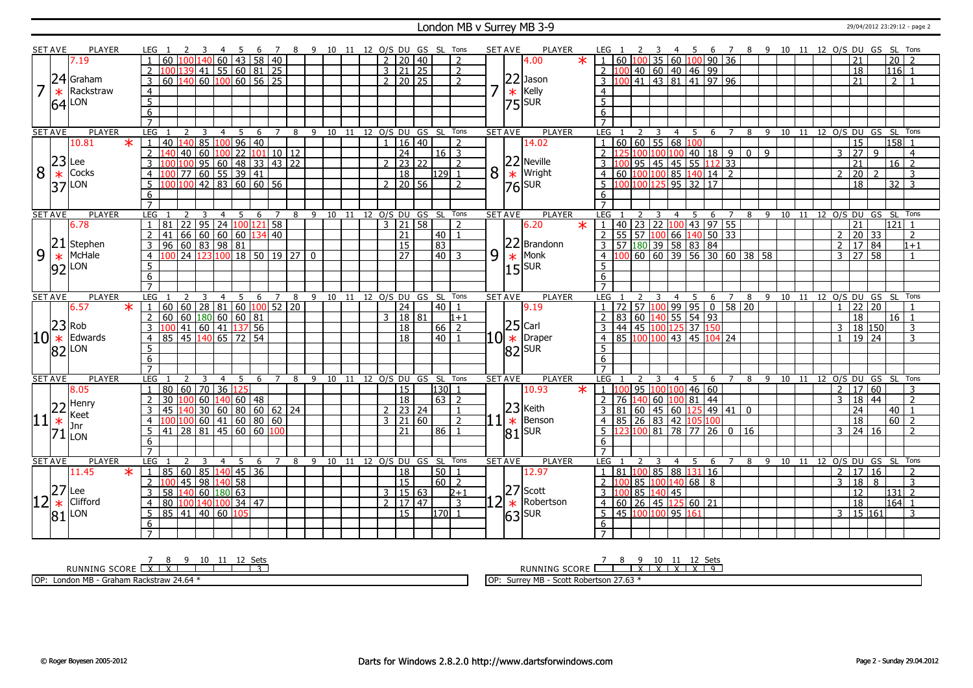#### London MB v Surrey MB 3-9 29/04/2012 23:29:12 - page 2

|          | <b>SET AVE</b> | <b>PLAYER</b>                   | LEG 1                             |                                                                                             |                                      |                | - 6                                        |          | $\overline{7}$ | 89 |                                    |    |    |                | 10 11 12 0/S DU GS SL Tons     |                 |                      |                         |                | <b>SET AVE</b> | PLAYER                     | LEG .                                           |    |               |                         |           | 45             |                               |                                  |                                                   |               |              | 6 7 8 9 10 11 12 O/S DU GS SL Tons     |    |  |                |                 |                 |                 |                      |  |
|----------|----------------|---------------------------------|-----------------------------------|---------------------------------------------------------------------------------------------|--------------------------------------|----------------|--------------------------------------------|----------|----------------|----|------------------------------------|----|----|----------------|--------------------------------|-----------------|----------------------|-------------------------|----------------|----------------|----------------------------|-------------------------------------------------|----|---------------|-------------------------|-----------|----------------|-------------------------------|----------------------------------|---------------------------------------------------|---------------|--------------|----------------------------------------|----|--|----------------|-----------------|-----------------|-----------------|----------------------|--|
|          |                | 7.19                            | 60                                |                                                                                             | 140 60 43 58 40                      |                |                                            |          |                |    |                                    |    |    | $\overline{2}$ | 20                             | $\overline{40}$ |                      | 2                       |                |                | $\ast$<br>4.00             |                                                 |    |               |                         |           |                |                               |                                  | 60   100   35   60   100   90   36                |               |              |                                        |    |  |                | 21              |                 | $\overline{20}$ |                      |  |
|          |                |                                 | $\mathcal{P}$                     | $\frac{100}{139}$ 41 55 60 81 25                                                            |                                      |                |                                            |          |                |    |                                    |    |    |                | $3 \mid 21 \mid 25$            |                 |                      | $\overline{2}$          |                |                |                            |                                                 |    |               |                         |           |                |                               | 2 100 40 60 40 46 99             |                                                   |               |              |                                        |    |  |                | 18              |                 | $116$ 1         |                      |  |
|          |                | $24$ Graham                     | 60<br>3                           | $140$ 60 $100$ 60 56 25                                                                     |                                      |                |                                            |          |                |    |                                    |    |    |                | $\overline{2}$   20   25       |                 |                      | $\overline{2}$          |                |                | $22$ Jason                 | 3 1                                             |    |               |                         |           |                |                               |                                  | $100$ 41 43 81 41 97 96                           |               |              |                                        |    |  |                | 21              |                 | $\overline{2}$  |                      |  |
|          | $\ast$         | Rackstraw                       | $\overline{4}$                    |                                                                                             |                                      |                |                                            |          |                |    |                                    |    |    |                |                                |                 |                      |                         |                | $\ast$         | Kelly                      | $\overline{4}$                                  |    |               |                         |           |                |                               |                                  |                                                   |               |              |                                        |    |  |                |                 |                 |                 |                      |  |
|          |                |                                 | $\overline{5}$                    |                                                                                             |                                      |                |                                            |          |                |    |                                    |    |    |                |                                |                 |                      |                         |                |                |                            | $\overline{5}$                                  |    |               |                         |           |                |                               |                                  |                                                   |               |              |                                        |    |  |                |                 |                 |                 |                      |  |
|          |                | $64$ <sup>LON</sup>             | $\overline{6}$                    |                                                                                             |                                      |                |                                            |          |                |    |                                    |    |    |                |                                |                 |                      |                         |                |                | $ 75 $ sur                 |                                                 |    |               |                         |           |                |                               |                                  |                                                   |               |              |                                        |    |  |                |                 |                 |                 |                      |  |
|          |                |                                 | $\overline{7}$                    |                                                                                             |                                      |                |                                            |          |                |    |                                    |    |    |                |                                |                 |                      |                         |                |                |                            | 6<br>$\overline{7}$                             |    |               |                         |           |                |                               |                                  |                                                   |               |              |                                        |    |  |                |                 |                 |                 |                      |  |
|          |                | <b>PLAYER</b>                   |                                   |                                                                                             |                                      |                |                                            |          |                |    |                                    |    |    |                |                                |                 |                      |                         |                |                | <b>PLAYER</b>              |                                                 |    |               |                         |           |                |                               |                                  |                                                   |               |              |                                        |    |  |                |                 |                 |                 |                      |  |
|          | <b>SET AVE</b> | $\ast$                          | LEG<br>40<br>$\mathbf{1}$         | <sup>2</sup><br>$140$ 85 $100$ 96 40                                                        | 3                                    | $\overline{4}$ | 5                                          |          |                |    | 6 7 8 9 10 11 12 0/S DU GS SL Tons |    |    | $\mathbf{1}$   | 16 40                          |                 |                      | $\overline{2}$          |                | <b>SET AVE</b> |                            | LEG <sub>1</sub><br>1   60   60   55   68   100 |    | <sup>2</sup>  | $\overline{\mathbf{3}}$ |           |                |                               |                                  |                                                   |               |              | 4 5 6 7 8 9 10 11 12 O/S DU GS SL Tons |    |  |                | $\overline{15}$ |                 | 158 1           |                      |  |
|          |                | 10.81                           |                                   |                                                                                             |                                      |                |                                            |          |                |    |                                    |    |    |                |                                |                 |                      |                         |                |                | 14.02                      |                                                 |    |               |                         |           |                |                               |                                  |                                                   |               |              |                                        |    |  |                |                 |                 |                 |                      |  |
|          | $23$ Lee       |                                 | $\overline{2}$<br>140             | 140 60                                                                                      |                                      | 100            | 22  101   10   12                          |          |                |    |                                    |    |    |                | $\overline{24}$                |                 | $16$ 3               |                         |                |                |                            |                                                 |    |               |                         |           |                |                               |                                  | $2\left 125\right 100\left 100\right 100$ 40 18 9 |               | $0$ 9        |                                        |    |  | 3              | $\overline{27}$ | 9               |                 | $\overline{4}$       |  |
|          |                |                                 |                                   |                                                                                             | 95   60   48   33   43   22          |                |                                            |          |                |    |                                    |    |    |                | 23 22                          |                 |                      | $\overline{z}$          |                |                | $22$ Neville<br>$*$ Wright |                                                 |    |               |                         |           |                | 95 45 45 55                   |                                  | 112 33                                            |               |              |                                        |    |  |                | 21              |                 | $\overline{16}$ | $\overline{z}$       |  |
| 8        | $\ast$         | Cocks                           | 4                                 | 100 77 60 55 39 41                                                                          |                                      |                |                                            |          |                |    |                                    |    |    |                | $\overline{18}$                |                 | 129                  | $\overline{1}$          | 8              |                |                            |                                                 |    |               |                         |           |                |                               | 4 60 100 100 85 140 14 2         |                                                   |               |              |                                        |    |  | $\overline{2}$ | 20              |                 |                 | 3                    |  |
|          |                | $ 37 $ LON                      | $5^{\circ}$                       | $\frac{100}{100}$ 100 42 83 60 60 56                                                        |                                      |                |                                            |          |                |    |                                    |    |    |                | $2 \mid 20 \mid 56$            |                 |                      | $\overline{2}$          |                |                | $76$ <sup>SUR</sup>        | .5                                              |    |               |                         |           |                |                               | 10010012595532117                |                                                   |               |              |                                        |    |  |                | 18              |                 | $32 \mid 3$     |                      |  |
|          |                |                                 | 6                                 |                                                                                             |                                      |                |                                            |          |                |    |                                    |    |    |                |                                |                 |                      |                         |                |                |                            | 6                                               |    |               |                         |           |                |                               |                                  |                                                   |               |              |                                        |    |  |                |                 |                 |                 |                      |  |
|          |                |                                 | $\overline{7}$                    |                                                                                             |                                      |                |                                            |          |                |    |                                    |    |    |                |                                |                 |                      |                         |                |                |                            | $\overline{7}$                                  |    |               |                         |           |                |                               |                                  |                                                   |               |              |                                        |    |  |                |                 |                 |                 |                      |  |
|          | <b>SET AVE</b> | <b>PLAYER</b>                   | LEG                               |                                                                                             |                                      | $\overline{4}$ | 5                                          | 6        | $\overline{7}$ | 8  |                                    |    |    |                | 9 10 11 12 O/S DU GS SL Tons   |                 |                      |                         |                | <b>SET AVE</b> | <b>PLAYER</b>              | <b>LEG</b>                                      |    |               |                         |           |                | 4 5                           |                                  | 6 7                                               |               |              | 8 9 10 11 12 0/S DU GS SL Tons         |    |  |                |                 |                 |                 |                      |  |
|          |                | 6.78                            | 81<br>$\mathbf{1}$                | 22 95 24 100 121 58                                                                         |                                      |                |                                            |          |                |    |                                    |    |    |                | $3 \mid 21 \mid 58$            |                 |                      | $\overline{2}$          |                |                | 6.20<br>$\ast$             |                                                 |    |               |                         |           |                |                               |                                  | 1   40   23   22   100   43   97   55             |               |              |                                        |    |  |                | 21              |                 | $121$ 1         |                      |  |
|          |                |                                 | $\overline{2}$<br>41              | 66   60                                                                                     |                                      | 60 60          |                                            | 134   40 |                |    |                                    |    |    |                | 21                             |                 | 40 <sub>1</sub>      | $\overline{\mathbf{1}}$ |                |                |                            | 2                                               |    |               |                         |           |                |                               |                                  | 55 57 100 66 140 50 33                            |               |              |                                        |    |  | 2              | 20              | 33              |                 | 2                    |  |
|          |                | $ 21 $ Stephen                  | 3                                 | $96 \ 60 \ 83 \ 98 \ 81$                                                                    |                                      |                |                                            |          |                |    |                                    |    |    |                | <sup>15</sup>                  |                 | $\sqrt{83}$          |                         |                |                | 22 Brandonn                |                                                 |    |               |                         |           |                |                               | 3 57 180 39 58 83 84             |                                                   |               |              |                                        |    |  | 2              | $\sqrt{17/84}$  |                 |                 | $1 + 1$              |  |
| 9        | $\ast$         | McHale                          | $\overline{4}$                    | $\overline{24}$<br>123                                                                      | 100                                  |                | 18 50 19 27                                |          |                |    | $\Omega$                           |    |    |                | 27                             |                 | 40 3                 |                         | 9              | $\ast$         | Monk                       | 4 100                                           |    |               |                         |           |                |                               |                                  | 60 60 39 56 30 60 38 58                           |               |              |                                        |    |  | $\mathbf{3}$   | $\sqrt{27}$ 58  |                 |                 | $\overline{1}$       |  |
|          |                | $92$ LON                        | $5\overline{)}$                   |                                                                                             |                                      |                |                                            |          |                |    |                                    |    |    |                |                                |                 |                      |                         |                |                | $15$ <sup>SUR</sup>        | 5                                               |    |               |                         |           |                |                               |                                  |                                                   |               |              |                                        |    |  |                |                 |                 |                 |                      |  |
|          |                |                                 | 6                                 |                                                                                             |                                      |                |                                            |          |                |    |                                    |    |    |                |                                |                 |                      |                         |                |                |                            | 6                                               |    |               |                         |           |                |                               |                                  |                                                   |               |              |                                        |    |  |                |                 |                 |                 |                      |  |
|          |                |                                 | $\overline{7}$                    |                                                                                             |                                      |                |                                            |          |                |    |                                    |    |    |                |                                |                 |                      |                         |                |                |                            | $\overline{7}$                                  |    |               |                         |           |                |                               |                                  |                                                   |               |              |                                        |    |  |                |                 |                 |                 |                      |  |
|          | <b>SET AVE</b> | <b>PLAYER</b>                   | LEG                               |                                                                                             | $\overline{4}$                       |                | 5                                          | 6        | 7              |    |                                    |    |    |                | 8 9 10 11 12 0/S DU GS SL Tons |                 |                      |                         |                | <b>SET AVE</b> | <b>PLAYER</b>              | LEG                                             |    |               |                         |           | $\overline{4}$ | 5                             | 6                                | $\overline{7}$                                    |               |              | 8 9 10 11 12 O/S DU GS SL Tons         |    |  |                |                 |                 |                 |                      |  |
|          |                |                                 |                                   |                                                                                             |                                      |                |                                            |          |                |    |                                    |    |    |                |                                |                 |                      |                         |                |                |                            |                                                 |    |               |                         |           |                |                               |                                  |                                                   |               |              |                                        |    |  |                |                 |                 |                 |                      |  |
|          |                | $\ast$<br>6.57                  |                                   | 60   60   28   81                                                                           |                                      |                | $\boxed{60}$ $\boxed{100}$ 52 $\boxed{20}$ |          |                |    |                                    |    |    |                | $\overline{24}$                |                 | 40                   |                         |                |                | 9.19                       |                                                 | 72 |               |                         |           |                |                               | $\overline{0}$                   |                                                   | $58$ 20       |              |                                        |    |  |                | $\overline{22}$ | $\overline{20}$ |                 |                      |  |
|          |                |                                 | $\overline{2}$<br>60              |                                                                                             |                                      |                |                                            |          |                |    |                                    |    |    |                | 3   18   81                    |                 |                      | $1 + 1$                 |                |                |                            | $\overline{2}$                                  |    |               |                         |           |                | 57 100 99 95                  | 83 60 140 55 54 93               |                                                   |               |              |                                        |    |  |                | 18              |                 | $16$   1        |                      |  |
|          | $23$ Rob       |                                 | 3                                 | $\boxed{60}$ $\boxed{180}$ 60 $\boxed{60}$ 81                                               |                                      |                |                                            |          |                |    |                                    |    |    |                | <b>18</b>                      |                 |                      |                         |                |                |                            | 3                                               |    |               |                         |           |                |                               | 44 45 100 125 37 150             |                                                   |               |              |                                        |    |  | $\overline{3}$ |                 |                 |                 | $\overline{3}$       |  |
|          |                |                                 | $\overline{4}$                    | 100 41 60 41 137 56                                                                         |                                      |                |                                            |          |                |    |                                    |    |    |                | 18                             |                 | $66$   2<br>l 40 l 1 |                         |                |                | $25$ Carl                  |                                                 |    |               |                         |           |                |                               |                                  | 4 85 100 100 43 45 104 24                         |               |              |                                        |    |  | $\overline{1}$ | 18 150<br>19 24 |                 |                 | 3                    |  |
|          |                | $ 10 $ $\star$ Edwards          | 5                                 | 85 45 140 65 72 54                                                                          |                                      |                |                                            |          |                |    |                                    |    |    |                |                                |                 |                      |                         |                |                | $10$ $\ast$  Draper        | 5 <sup>5</sup>                                  |    |               |                         |           |                |                               |                                  |                                                   |               |              |                                        |    |  |                |                 |                 |                 |                      |  |
|          |                | $82$ LON                        |                                   |                                                                                             |                                      |                |                                            |          |                |    |                                    |    |    |                |                                |                 |                      |                         |                |                | $ 82 $ <sub>SUR</sub>      | 6                                               |    |               |                         |           |                |                               |                                  |                                                   |               |              |                                        |    |  |                |                 |                 |                 |                      |  |
|          |                |                                 | $6 \overline{}$<br>$\overline{7}$ |                                                                                             |                                      |                |                                            |          |                |    |                                    |    |    |                |                                |                 |                      |                         |                |                |                            | $\overline{7}$                                  |    |               |                         |           |                |                               |                                  |                                                   |               |              |                                        |    |  |                |                 |                 |                 |                      |  |
|          | <b>SET AVE</b> | PLAYER                          | LEG                               | 2                                                                                           | -3<br>$\overline{4}$                 |                | -5                                         | 6        | $\overline{7}$ | 8  | 9 10 11 12 O/S DU GS SL Tons       |    |    |                |                                |                 |                      |                         |                | <b>SET AVE</b> | PLAYER                     | <b>LEG</b>                                      |    |               |                         |           | $\overline{4}$ | - 5                           | 6                                |                                                   |               |              | 7 8 9 10 11 12 O/S DU GS SL Tons       |    |  |                |                 |                 |                 |                      |  |
|          |                | 8.05                            | 80<br>$\mathbf{1}$                |                                                                                             |                                      |                |                                            |          |                |    |                                    |    |    |                |                                |                 |                      |                         |                |                | $\ast$                     | $1\,100$                                        |    |               |                         |           |                |                               |                                  |                                                   |               |              |                                        |    |  |                |                 |                 |                 | 3                    |  |
|          |                |                                 |                                   | 60 70 36 125                                                                                |                                      |                |                                            |          |                |    |                                    |    |    |                | 15                             |                 | 130 1                |                         |                |                | 10.93                      |                                                 |    |               |                         |           |                |                               | 95 100 100 46 60                 |                                                   |               |              |                                        |    |  |                | 2   17   60     |                 |                 |                      |  |
|          |                |                                 | $\overline{2}$<br>30              | $\overline{60}$                                                                             |                                      | 140            | 60 48                                      |          |                |    |                                    |    |    |                | $\overline{18}$                |                 | $63$   2             |                         |                |                |                            | $2 \mid 76$                                     |    |               |                         |           |                |                               | 140 60 100 81 44                 |                                                   |               |              |                                        |    |  | 3              | 18              | 44              |                 | $\overline{2}$       |  |
|          |                | $ 22 $ <sup>Henry</sup><br>Keet | $\overline{3}$<br>45              | $140$ 30 60 80 60 62 24                                                                     |                                      |                |                                            |          |                |    |                                    |    |    |                | $2 \mid 23 \mid 24$            |                 |                      | $\overline{1}$          |                |                | $23$ Keith                 |                                                 |    |               |                         |           |                |                               |                                  | $3   81   60   45   60   125   49   41   0$       |               |              |                                        |    |  |                | $\overline{24}$ |                 | 40              | $\overline{1}$       |  |
| $ 11 $ * |                | Jnr                             | $\overline{4}$                    |                                                                                             | $60 \mid 41 \mid 60 \mid 80 \mid 60$ |                |                                            |          |                |    |                                    |    |    |                | 3   21   60                    |                 |                      | $\overline{2}$          |                | $\sqrt{1}$     | Benson                     |                                                 | 85 |               |                         |           |                | 26 83 42 105                  |                                  |                                                   |               |              |                                        |    |  |                | 18              |                 | 60              | $\overline{2}$       |  |
|          |                | $71$ <sub>LON</sub>             | 5                                 | $41 \overline{)28 \overline{)81 \overline{45}} \overline{60} \overline{)60} \overline{100}$ |                                      |                |                                            |          |                |    |                                    |    |    |                | 21                             |                 | 86 I                 | $\overline{1}$          |                |                | $ 81 $ <sub>SUR</sub>      | 5                                               |    |               |                         |           |                |                               |                                  | 23 100 81 78 77 26 0                              | <sup>16</sup> |              |                                        |    |  | $\overline{3}$ | 24 16           |                 |                 | $\overline{2}$       |  |
|          |                |                                 | 6                                 |                                                                                             |                                      |                |                                            |          |                |    |                                    |    |    |                |                                |                 |                      |                         |                |                |                            | 6                                               |    |               |                         |           |                |                               |                                  |                                                   |               |              |                                        |    |  |                |                 |                 |                 |                      |  |
|          |                |                                 | $\overline{7}$                    |                                                                                             |                                      |                |                                            |          |                |    |                                    |    |    |                |                                |                 |                      |                         |                |                |                            | $\overline{7}$                                  |    |               |                         |           |                |                               |                                  |                                                   |               |              |                                        |    |  |                |                 |                 |                 |                      |  |
|          | <b>SET AVE</b> | PLAYER                          | LEG                               |                                                                                             | 3<br>$\overline{4}$                  |                | 5                                          | 6        | $\overline{7}$ | 8  | 9                                  | 10 | 11 |                | 12 O/S DU GS SL Tons           |                 |                      |                         |                | <b>SET AVE</b> | <b>PLAYER</b>              | <b>LEG</b>                                      |    | $\mathcal{P}$ |                         | 3         | $\overline{4}$ | 5 <sup>1</sup>                | -6                               | $\overline{7}$                                    | 8             | $\mathsf{q}$ | 10                                     | 11 |  |                |                 |                 |                 | 12 O/S DU GS SL Tons |  |
|          |                | 11.45<br>$\star$                | 85<br>$\mathbf{1}$                | 60                                                                                          | 85 140 45 36                         |                |                                            |          |                |    |                                    |    |    |                | 18                             |                 | 50                   | $\overline{1}$          |                |                | 12.97                      | $\overline{1}$                                  |    |               |                         |           |                |                               | 81 100 85 88 131 16              |                                                   |               |              |                                        |    |  | 2              | 17              | 16              |                 |                      |  |
|          |                |                                 | $\overline{2}$                    | 45 98                                                                                       |                                      | $140$ 58       |                                            |          |                |    |                                    |    |    |                | 15                             |                 | $60$   2             |                         |                |                |                            | $2 \, 100$                                      |    |               |                         |           |                | 85 100 140 68 8               |                                  |                                                   |               |              |                                        |    |  | 3              | $\overline{18}$ | 8               |                 | 3                    |  |
|          |                |                                 | 3<br>58                           | 140                                                                                         | $\sqrt{60}$ $180$ 63                 |                |                                            |          |                |    |                                    |    |    |                | 3   15   63                    |                 |                      | $2+1$                   |                |                | $27$ Scott                 | $3 \, 100$                                      |    |               |                         | 85 140 45 |                |                               |                                  |                                                   |               |              |                                        |    |  |                | 12              |                 | 131             | $\overline{2}$       |  |
|          |                | Clifford                        | $\overline{80}$<br>$\overline{4}$ | 100                                                                                         | 140 100 34 47                        |                |                                            |          |                |    |                                    |    |    |                | 2   17   47                    |                 |                      | $\overline{3}$          | $\overline{2}$ | $\ast$         | Robertson                  |                                                 |    |               |                         |           |                |                               | 4   60   26   45   125   60   21 |                                                   |               |              |                                        |    |  |                | 18              |                 | $164$ 1         |                      |  |
|          |                | $12\frac{ 27 }{ 27 }$ Lee       | $\overline{5}$                    | 85   41   40   60   <mark>105</mark>                                                        |                                      |                |                                            |          |                |    |                                    |    |    |                | $\overline{15}$                |                 | 170 1                |                         |                |                |                            |                                                 |    |               |                         |           |                | 5   45   100   100   95   161 |                                  |                                                   |               |              |                                        |    |  |                | 3   15   161    |                 |                 | 3                    |  |
|          |                | $81$ <sup>LON</sup>             | 6<br>$\overline{7}$               |                                                                                             |                                      |                |                                            |          |                |    |                                    |    |    |                |                                |                 |                      |                         |                |                | $ 63 $ <sub>SUR</sub>      | 6<br>$\overline{7}$                             |    |               |                         |           |                |                               |                                  |                                                   |               |              |                                        |    |  |                |                 |                 |                 |                      |  |

RUNNING SCORE 7 X 8 X 9 10 11 12 Sets 3

OP: London MB - Graham Rackstraw 24.64 \*

RUNNING SCORE 7 8 9 X 10 X 11 X 12 X Sets 9 OP: Surrey MB - Scott Robertson 27.63 \*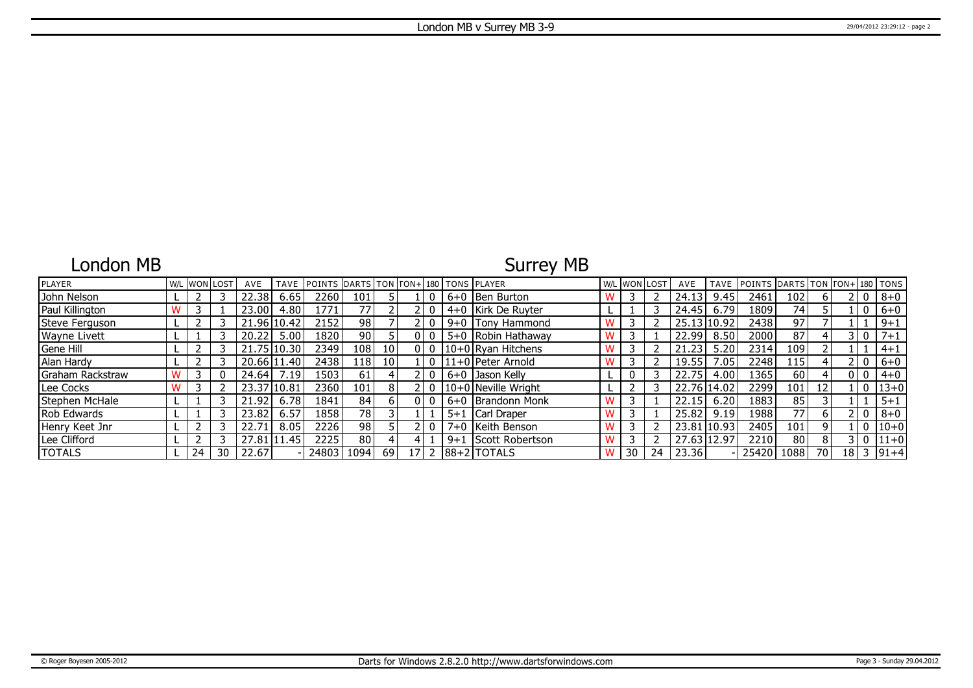## London MB

## Surrey MB

| PLAYER           |    | W/L WON LOST | AVE     | TAVE        | <b>POINTS DARTS TON FON+180 TONS PLAYER</b> |                 |                 |    |          |         |                        | W/L WON LOST |    | AVE         |      | TAVE POINTS DARTS TON TON+ 180 TONS |     |    |      |                |           |
|------------------|----|--------------|---------|-------------|---------------------------------------------|-----------------|-----------------|----|----------|---------|------------------------|--------------|----|-------------|------|-------------------------------------|-----|----|------|----------------|-----------|
| John Nelson      |    |              | 22.38   | 6.65        | 2260                                        | 101             |                 |    |          |         | 6+0 Ben Burton         |              |    | 24.13       | 9.45 | 2461                                | 102 |    |      | $\mathbf{0}$   | $8 + 0$   |
| Paul Killington  |    |              | 23.00   | 4.80        | 1771                                        | 771             |                 |    |          |         | 4+0   Kirk De Ruyter   |              |    | 24.45       | 6.79 | 1809                                | 74  |    |      | $\overline{0}$ | $6+0$     |
| Steve Ferguson   |    |              |         | 21.96 10.42 | 2152                                        | 98              |                 |    |          |         | $9+0$ Tony Hammond     |              |    | 25.13 10.92 |      | 2438                                | 97  |    |      |                | $9 + 1$   |
| Wayne Livett     |    |              | 20.22   | 5.00        | 1820 l                                      | 90 <sub>1</sub> |                 |    |          |         | 5+0 Robin Hathaway     |              |    | 22.99       | 8.50 | 2000                                | 87  |    |      | 3 I O          | $7 + 1$   |
| Gene Hill        |    |              | 21.75   | 10.30       | 2349                                        | 108             | 10 <sup>1</sup> |    | 0 I O    |         | $10+0$ Ryan Hitchens   |              |    | 21.23       | 5.20 | 2314                                | 109 |    |      |                | $4 + 1$   |
| Alan Hardy       |    |              |         | 20.66 11.40 | 24381                                       | 118             | 10 <sup>1</sup> |    | $\Omega$ |         | 11+0 Peter Arnold      |              |    | 19.55       | .05  | 2248                                | 115 |    |      | 0              | $6 + 0$   |
| Graham Rackstraw |    |              | 24.64   | .19         | 1503                                        | 61              |                 |    |          |         | 6+0 IJason Kelly       |              |    | 22.75       | 4.00 | 1365                                | 60  |    |      | 0 I O          | $4 + 0$   |
| Lee Cocks        |    |              | 23.37 l | 10.81       | 2360 l                                      | 1011            | 8               |    | $\Omega$ |         | 10+0 Neville Wright    |              |    | 22.76 14.02 |      | 2299                                | 101 | 12 |      | $\overline{0}$ | $13 + 0$  |
| Stephen McHale   |    |              | 21.92   | 6.78        | 1841                                        | 84              |                 | 01 |          |         | 6+0 Brandonn Monk      |              |    | 22.15       | 6.20 | 1883                                | 85  |    |      |                | $5 + 1$   |
| Rob Edwards      |    |              | 23.82   | 6.57        | 18581                                       | 78              |                 |    |          | $5 + 1$ | Carl Draper            |              |    | 25.82       | 9.19 | 1988                                | 77  | 6  |      | - 0            | $8 + 0$   |
| Henry Keet Jnr   |    |              | 22.71   | 8.05        | 2226                                        | 98 I            |                 |    |          |         | 7+0 Keith Benson       |              |    | 23.81 10.93 |      | 2405                                | 101 | q  |      | 0              | $ 10+0$   |
| Lee Clifford     |    |              |         | 27.81 11.45 | 2225                                        | 80              |                 |    |          | $9 + 1$ | Scott Robertson        |              |    | 27.63 12.97 |      | 2210                                | 80  | 8  |      | 3 I O          | $ 11+0$   |
| <b>TOTALS</b>    | 24 | 30           | 22.67   |             | 24803                                       | 1094            | <sup>69</sup>   |    |          |         | 17 2   88 + 2   TOTALS | 30           | 24 | 23.36       |      | 25420 1088                          |     | 70 | 18 I |                | $3 91+4 $ |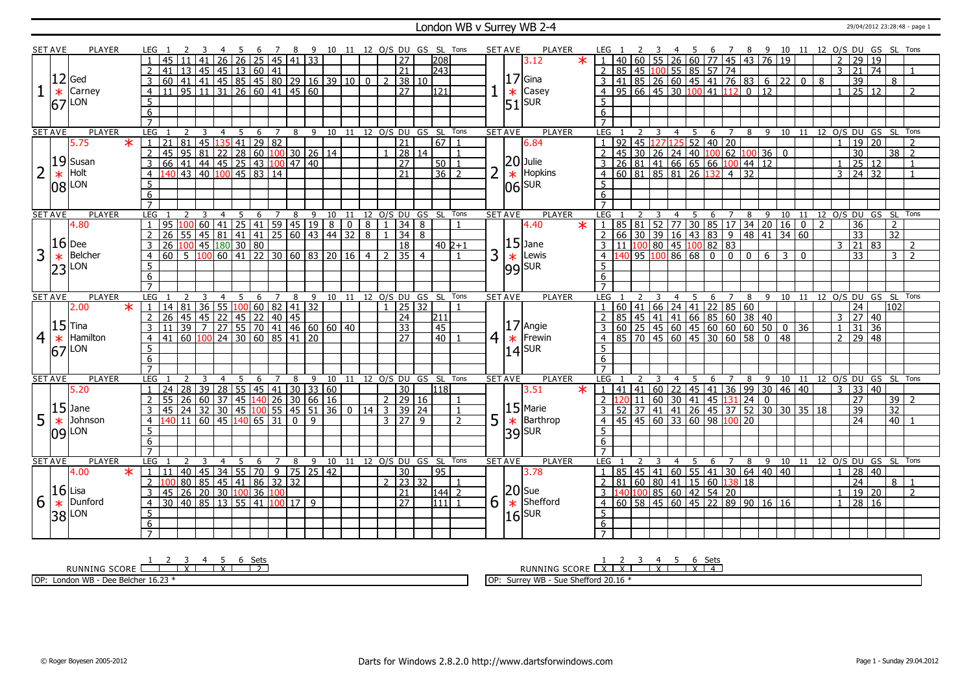#### London WB v Surrey WB 2-4 29/04/2012 23:28:48 - page 1

| <b>SET AVE</b> |        | <b>PLAYER</b> |                         | LEG 1           |                                                                                                                           |    |                |     | $26$   26   25   45   41   33                                                  |       |                |              |                |    |                |                |                |                                          |       |                 | 5 6 7 8 9 10 11 12 O/S DU GS SL Tons | <b>SET AVE</b> |        | PLAYER                |        | LEG 1               |                                          |   |                |                |     |                |                         |                 |                                                                                                         |     |   |                |                 |                    |                 | 4 5 6 7 8 9 10 11 12 O/S DU GS SL Tons |  |
|----------------|--------|---------------|-------------------------|-----------------|---------------------------------------------------------------------------------------------------------------------------|----|----------------|-----|--------------------------------------------------------------------------------|-------|----------------|--------------|----------------|----|----------------|----------------|----------------|------------------------------------------|-------|-----------------|--------------------------------------|----------------|--------|-----------------------|--------|---------------------|------------------------------------------|---|----------------|----------------|-----|----------------|-------------------------|-----------------|---------------------------------------------------------------------------------------------------------|-----|---|----------------|-----------------|--------------------|-----------------|----------------------------------------|--|
|                |        |               |                         |                 |                                                                                                                           | 41 |                |     |                                                                                |       |                |              |                |    |                |                |                | $\overline{27}$                          |       | 208             |                                      |                |        | 3.12                  |        |                     |                                          |   |                |                |     |                |                         |                 | $40   60   55   26   60   77   45   43   76   19$                                                       |     |   | $\overline{2}$ | 29              | <sup>19</sup>      |                 |                                        |  |
|                |        |               |                         | 41              |                                                                                                                           |    |                |     | 13   45   45   13   60   41                                                    |       |                |              |                |    |                |                |                | $\overline{21}$                          |       | 243             |                                      |                |        |                       |        |                     | 85 45 100 55 85 57 74                    |   |                |                |     |                |                         |                 |                                                                                                         |     |   | $\mathbf{3}$   | 21              | 74                 |                 | $\overline{1}$                         |  |
|                |        | $12$ Ged      | 3                       |                 |                                                                                                                           |    |                |     |                                                                                |       |                |              |                |    |                |                | $\overline{2}$ |                                          | 38 10 |                 |                                      |                |        | 17 Gina               |        | $\overline{3}$      |                                          |   |                |                |     |                |                         |                 | 41 85 26 60 45 41 76 83 6 22 0                                                                          |     | 8 |                | $\overline{39}$ |                    | 8               |                                        |  |
|                | $\ast$ | Carney        | $\overline{4}$          |                 |                                                                                                                           |    |                |     |                                                                                |       |                |              |                |    |                |                |                | 27                                       |       | 121             |                                      |                | $\ast$ | Casey                 |        |                     | $95   66   45   30   100   41   112   0$ |   |                |                |     |                |                         | $\overline{12}$ |                                                                                                         |     |   | $\mathbf{1}$   |                 | 25 12              |                 | $\overline{2}$                         |  |
|                |        | $67$ LON      | 5                       |                 |                                                                                                                           |    |                |     |                                                                                |       |                |              |                |    |                |                |                |                                          |       |                 |                                      |                |        | $51$ SUR              |        | 5                   |                                          |   |                |                |     |                |                         |                 |                                                                                                         |     |   |                |                 |                    |                 |                                        |  |
|                |        |               | 6                       |                 |                                                                                                                           |    |                |     |                                                                                |       |                |              |                |    |                |                |                |                                          |       |                 |                                      |                |        |                       |        | 6                   |                                          |   |                |                |     |                |                         |                 |                                                                                                         |     |   |                |                 |                    |                 |                                        |  |
|                |        |               | $\overline{7}$          |                 |                                                                                                                           |    |                |     |                                                                                |       |                |              |                |    |                |                |                |                                          |       |                 |                                      |                |        |                       |        | $\overline{7}$      |                                          |   |                |                |     |                |                         |                 |                                                                                                         |     |   |                |                 |                    |                 |                                        |  |
| <b>SET AVE</b> |        | <b>PLAYER</b> | LEG                     |                 |                                                                                                                           | 3  | $\overline{4}$ | - 5 | 6                                                                              |       | 7              | 8            | $-9$           | 10 |                |                |                | 11 12 O/S DU GS SL Tons                  |       |                 |                                      | <b>SET AVE</b> |        | <b>PLAYER</b>         |        | LEG                 |                                          | 3 | $\overline{4}$ | 5 <sup>5</sup> |     | 6 7            |                         |                 |                                                                                                         |     |   |                |                 |                    |                 | 8 9 10 11 12 0/S DU GS SL Tons         |  |
|                |        | 5.75          | $\star$<br>$\mathbf{1}$ | 21              | 81                                                                                                                        |    | 45 135 41      |     |                                                                                | 29 82 |                |              |                |    |                |                |                | $\overline{21}$                          |       | $\overline{67}$ |                                      |                |        | 6.84                  |        | $\mathbf{1}$        | 92 45 127 125 52 40 20                   |   |                |                |     |                |                         |                 |                                                                                                         |     |   | $\mathbf{1}$   |                 | 19 20              |                 | $\mathcal{P}$                          |  |
|                |        |               | $\overline{2}$          | l 45            |                                                                                                                           |    |                |     |                                                                                |       |                |              |                |    |                |                |                |                                          | 28 14 |                 | -1                                   |                |        |                       |        | $\mathcal{P}$       | 45 30 26 24 40 100 62                    |   |                |                |     |                |                         |                 | 100 36 0                                                                                                |     |   |                | 30              |                    |                 | $\overline{38}$   2                    |  |
|                |        | $19$ Susan    | 3                       | 66              |                                                                                                                           |    |                |     |                                                                                |       |                |              |                |    |                |                |                | $\overline{27}$                          |       | 50              |                                      |                |        | $ 20 $ Julie          |        |                     | 26 81 41 66 65 66 100 44 12              |   |                |                |     |                |                         |                 |                                                                                                         |     |   | $\mathbf{1}$   |                 | 25 12              |                 | $\overline{1}$                         |  |
| $\overline{2}$ | $\ast$ | Holt          | $\overline{4}$          |                 | 95 81 22 28 60 100 30 26 14<br>41 44 45 25 43 100 47 40<br>43 40 100 45 83 14                                             |    |                |     |                                                                                |       |                |              |                |    |                |                |                | $\overline{21}$                          |       | $\overline{36}$ | $\overline{2}$                       | 2              | $\ast$ | Hopkins               |        | $\overline{4}$      | $\overline{60}$ 81 85 81 26 132          |   |                |                |     |                | $\overline{4}$ 32       |                 |                                                                                                         |     |   | $\overline{3}$ |                 | $\overline{24}$ 32 |                 |                                        |  |
|                |        |               | $\overline{5}$          |                 |                                                                                                                           |    |                |     |                                                                                |       |                |              |                |    |                |                |                |                                          |       |                 |                                      |                |        |                       |        | $\overline{5}$      |                                          |   |                |                |     |                |                         |                 |                                                                                                         |     |   |                |                 |                    |                 |                                        |  |
|                |        | $ 08 $ LON    |                         |                 |                                                                                                                           |    |                |     |                                                                                |       |                |              |                |    |                |                |                |                                          |       |                 |                                      |                |        | $ 06 $ sur            |        |                     |                                          |   |                |                |     |                |                         |                 |                                                                                                         |     |   |                |                 |                    |                 |                                        |  |
|                |        |               | 6                       |                 |                                                                                                                           |    |                |     |                                                                                |       |                |              |                |    |                |                |                |                                          |       |                 |                                      |                |        |                       |        | 6                   |                                          |   |                |                |     |                |                         |                 |                                                                                                         |     |   |                |                 |                    |                 |                                        |  |
|                |        |               |                         |                 |                                                                                                                           |    |                |     |                                                                                |       |                |              |                |    |                |                |                |                                          |       |                 |                                      |                |        |                       |        |                     |                                          |   |                |                |     |                |                         |                 |                                                                                                         |     |   |                |                 |                    |                 |                                        |  |
| <b>SET AVE</b> |        | <b>PLAYER</b> | LEG                     |                 |                                                                                                                           |    | $\overline{4}$ | 5   | 6                                                                              |       | $\overline{7}$ |              |                |    |                |                |                | 8 9 10 11 12 0/S DU GS SL Tons           |       |                 |                                      | <b>SET AVE</b> |        | <b>PLAYER</b>         |        | LEG                 |                                          |   | 4 5            |                |     | 6 7            |                         |                 | 8 9 10 11 12 0/S DU GS SL                                                                               |     |   |                |                 |                    |                 | Tons                                   |  |
|                |        | 4.80          |                         | 95              |                                                                                                                           |    | 60 41          |     | $\sqrt{25}$ 41 59 45 19                                                        |       |                |              |                | 8  | $\overline{0}$ | 8              |                | 34                                       | 8     |                 |                                      |                |        | 4.40                  | $\ast$ |                     |                                          |   |                |                |     |                |                         |                 | 85 81 52 77 30 85 17 34 20 16 0                                                                         |     | 2 |                | $\overline{36}$ |                    | $\overline{2}$  |                                        |  |
|                |        |               |                         | $\overline{26}$ | l 55                                                                                                                      |    |                |     | 45   81   41   41   25   60   43   44   32                                     |       |                |              |                |    |                | $\overline{8}$ |                | $\overline{34}$                          | 8     |                 |                                      |                |        | $ 15 $ Jane           |        | $\overline{2}$      |                                          |   |                |                |     |                |                         |                 | 66 30 39 16 43 83 9 48 41 34 60                                                                         |     |   |                | $\overline{33}$ |                    | $\overline{32}$ |                                        |  |
|                |        | $16$ Dee      |                         |                 |                                                                                                                           |    |                |     |                                                                                |       |                |              |                |    |                |                |                | 18                                       |       | 40 2+1          |                                      |                |        |                       |        |                     | 11 100 80 45 100 82 83                   |   |                |                |     |                |                         |                 |                                                                                                         |     |   | $\overline{3}$ |                 | 21 83              |                 | <sup>2</sup>                           |  |
| 3              | $\ast$ | Belcher       | $\overline{4}$          |                 |                                                                                                                           |    |                |     |                                                                                |       |                |              |                |    |                |                |                | $2 \mid 35 \mid 4$                       |       |                 |                                      | 3              | $\ast$ | Lewis                 |        | $\overline{4}$      | 14095100866800000                        |   |                |                |     |                |                         | 6 <sup>1</sup>  | $\overline{3}$                                                                                          | l 0 |   |                | 33              |                    | 3 I             | $\overline{z}$                         |  |
|                |        | $23$ LON      | 5 <sup>5</sup>          |                 |                                                                                                                           |    |                |     |                                                                                |       |                |              |                |    |                |                |                |                                          |       |                 |                                      |                |        | $ 99 $ SUR            |        | $5^{\circ}$         |                                          |   |                |                |     |                |                         |                 |                                                                                                         |     |   |                |                 |                    |                 |                                        |  |
|                |        |               | 6                       |                 |                                                                                                                           |    |                |     |                                                                                |       |                |              |                |    |                |                |                |                                          |       |                 |                                      |                |        |                       |        | 6                   |                                          |   |                |                |     |                |                         |                 |                                                                                                         |     |   |                |                 |                    |                 |                                        |  |
|                |        |               | $\overline{7}$          |                 |                                                                                                                           |    |                |     |                                                                                |       |                |              |                |    |                |                |                |                                          |       |                 |                                      |                |        |                       |        | $\overline{7}$      |                                          |   |                |                |     |                |                         |                 |                                                                                                         |     |   |                |                 |                    |                 |                                        |  |
| <b>SET AVE</b> |        | <b>PLAYER</b> | LEG                     |                 |                                                                                                                           |    | 4              | -5  | 6                                                                              |       | $\overline{7}$ | 8            | 9              |    |                |                |                | 10 11 12 O/S DU GS SL Tons               |       |                 |                                      | <b>SET AVE</b> |        | <b>PLAYER</b>         |        | LEG                 |                                          | 3 | $4 \quad 5$    |                | 6   |                |                         |                 | 7 8 9 10 11 12 0/S DU GS SL                                                                             |     |   |                |                 |                    |                 | Tons                                   |  |
|                |        |               |                         |                 |                                                                                                                           |    |                |     |                                                                                |       |                |              |                |    |                |                |                |                                          |       |                 |                                      |                |        |                       |        |                     |                                          |   |                |                |     |                |                         |                 |                                                                                                         |     |   |                |                 |                    |                 |                                        |  |
|                |        | 2.00          | $\star$<br>$\sqrt{1}$ . |                 |                                                                                                                           |    |                |     |                                                                                |       |                |              |                |    |                |                |                | $1$   25   32                            |       |                 |                                      |                |        |                       |        |                     |                                          |   |                |                |     |                | 60 41 66 24 41 22 85 60 |                 |                                                                                                         |     |   |                | 24              |                    | 102             |                                        |  |
|                |        |               |                         | $2 \mid 26$     |                                                                                                                           |    |                |     |                                                                                |       |                |              |                |    |                |                |                | $\overline{24}$                          |       | 211             |                                      |                |        |                       |        | $\overline{2}$      |                                          |   |                |                |     |                |                         |                 |                                                                                                         |     |   | $\overline{3}$ | $\overline{27}$ | $ 40\rangle$       |                 |                                        |  |
|                |        | $ 15 $ Tina   | 3                       |                 |                                                                                                                           |    |                |     |                                                                                |       |                |              |                |    |                |                |                | $\overline{33}$                          |       | 45              |                                      |                |        | $ 17 $ Angie          |        |                     |                                          |   |                |                |     |                |                         |                 |                                                                                                         |     |   | $\mathbf{1}$   | $\overline{31}$ | $\overline{36}$    |                 |                                        |  |
|                |        | Hamilton      | $\overline{4}$          |                 | 14 81 36 55 100 60 82 41 32<br>26 45 45 22 45 22 40 45<br>11 39 7 27 55 70 41 46 60 60 40                                 |    |                |     |                                                                                |       |                |              |                |    |                |                |                | $\overline{27}$                          |       | 40              |                                      |                |        |                       |        | $\overline{a}$      |                                          |   |                |                |     |                |                         |                 | 1 85   45   41   41   66   85   60   38   40  <br>  60   25   45   60   45   60   60   60   50   0   36 |     |   |                |                 | $2 \ 29 \ 48$      |                 |                                        |  |
| $\overline{4}$ | $\ast$ |               |                         |                 | $\frac{1}{100}$ $\frac{1}{100}$ $\frac{1}{24}$ $\frac{1}{30}$ $\frac{1}{60}$ $\frac{1}{85}$ $\frac{1}{41}$ $\frac{1}{20}$ |    |                |     |                                                                                |       |                |              |                |    |                |                |                |                                          |       |                 |                                      | 4              |        | $\star$  Frewin       |        | 5                   |                                          |   |                |                |     |                |                         |                 | 85 70 45 60 45 30 60 58 0 48                                                                            |     |   |                |                 |                    |                 |                                        |  |
|                |        | $ 67 $ LON    | 5                       |                 |                                                                                                                           |    |                |     |                                                                                |       |                |              |                |    |                |                |                |                                          |       |                 |                                      |                |        | $14$ SUR              |        |                     |                                          |   |                |                |     |                |                         |                 |                                                                                                         |     |   |                |                 |                    |                 |                                        |  |
|                |        |               | $6 \overline{}$         |                 |                                                                                                                           |    |                |     |                                                                                |       |                |              |                |    |                |                |                |                                          |       |                 |                                      |                |        |                       |        | 6                   |                                          |   |                |                |     |                |                         |                 |                                                                                                         |     |   |                |                 |                    |                 |                                        |  |
|                |        |               |                         |                 |                                                                                                                           |    | $\overline{4}$ |     |                                                                                |       |                |              |                |    |                |                |                |                                          |       |                 |                                      |                |        |                       |        |                     |                                          |   |                |                |     |                |                         |                 |                                                                                                         |     |   |                |                 |                    |                 |                                        |  |
| <b>SET AVE</b> |        | <b>PLAYER</b> | LEG                     |                 | 28                                                                                                                        |    |                | 5   | 6                                                                              |       | $\overline{7}$ | 8            | $\overline{9}$ |    |                |                |                | 10 11 12 0/S DU GS SL Tons               |       | 118             |                                      | <b>SET AVE</b> |        | <b>PLAYER</b>         |        | LEG                 |                                          |   | $\overline{4}$ | 5              | 6   | $\overline{7}$ | 8                       | $\overline{9}$  |                                                                                                         |     |   | 3              |                 |                    |                 | 10 11 12 0/S DU GS SL Tons             |  |
|                |        | 5.20          |                         | 24              |                                                                                                                           |    |                |     | 39 28 55 45 41                                                                 |       |                |              | 30 33 60       |    |                |                |                | 30 <sup>°</sup>                          |       |                 |                                      |                |        | 3.51                  |        |                     |                                          |   |                |                |     |                |                         |                 | 41 41 60 22 45 41 36 99 30 46 40                                                                        |     |   |                |                 | 33   40            |                 | $\overline{2}$                         |  |
|                |        |               |                         |                 | 26                                                                                                                        |    |                |     | 60   37   45   140   26   30   66   16                                         |       |                |              |                |    |                |                | $\overline{2}$ |                                          | 29 16 |                 |                                      |                |        |                       |        |                     | <mark>120</mark> 11 60 30 41 45 131 24 0 |   |                |                |     |                |                         |                 |                                                                                                         |     |   |                | 27              |                    | 39              |                                        |  |
|                |        | $15$ Jane     | 3                       | l 45            |                                                                                                                           |    |                |     |                                                                                |       |                |              |                |    |                |                |                | 24 32 30 45 100 55 45 51 36 0 14 3 39 24 |       |                 | $\overline{1}$                       |                |        | $15$ Marie            |        |                     |                                          |   |                |                |     |                |                         |                 | 52 37 41 41 26 45 37 52 30 30 35 18                                                                     |     |   |                | 39              |                    | 32              |                                        |  |
| 5              | $\ast$ | Johnson       | $\overline{4}$          |                 | $\overline{140}$ 11 60 45 140 65 31                                                                                       |    |                |     |                                                                                |       |                | $\mathbf{0}$ | 9              |    |                |                |                | $3 \mid 27$                              | 9     |                 | $\overline{2}$                       | 5              | $\ast$ | Barthrop              |        | $\overline{4}$      | 45 45 60 33 60 98 100 20                 |   |                |                |     |                |                         |                 |                                                                                                         |     |   |                | 24              |                    | 40              |                                        |  |
|                |        | 109 LON       | 5                       |                 |                                                                                                                           |    |                |     |                                                                                |       |                |              |                |    |                |                |                |                                          |       |                 |                                      |                |        | $ 39 $ <sub>SUR</sub> |        | $\overline{5}$      |                                          |   |                |                |     |                |                         |                 |                                                                                                         |     |   |                |                 |                    |                 |                                        |  |
|                |        |               | 6                       |                 |                                                                                                                           |    |                |     |                                                                                |       |                |              |                |    |                |                |                |                                          |       |                 |                                      |                |        |                       |        | 6                   |                                          |   |                |                |     |                |                         |                 |                                                                                                         |     |   |                |                 |                    |                 |                                        |  |
|                |        |               | $\overline{7}$          |                 |                                                                                                                           |    |                |     |                                                                                |       |                |              |                |    |                |                |                |                                          |       |                 |                                      |                |        |                       |        | $\overline{7}$      |                                          |   |                |                |     |                |                         |                 |                                                                                                         |     |   |                |                 |                    |                 |                                        |  |
|                |        | <b>PLAYER</b> | LEG                     |                 |                                                                                                                           |    | $\overline{4}$ | - 5 | - 6                                                                            |       | $\overline{7}$ | 8            | 9              |    |                |                |                | 10 11 12 O/S DU GS SL Tons               |       |                 |                                      | <b>SETAVE</b>  |        | <b>PLAYER</b>         |        | LEG                 |                                          |   |                | - 5            | - 6 |                | 7 8                     |                 |                                                                                                         |     |   |                |                 |                    |                 | 9 10 11 12 O/S DU GS SL Tons           |  |
|                |        | 4.00          | $\ast$                  | 1   11          | 40                                                                                                                        | 45 |                |     | $34$ 55 70 9                                                                   |       |                | 75           | 25 42          |    |                |                |                | $\overline{30}$                          |       | $\overline{95}$ |                                      |                |        | 3.78                  |        |                     |                                          |   |                |                |     |                |                         |                 | 85   45   41   60   55   41   30   64   40   40                                                         |     |   | $\mathbf{1}$   | 28              | $\sqrt{40}$        |                 |                                        |  |
|                |        |               |                         | 2 100           | 80                                                                                                                        |    |                |     | $85 \overline{)45} \overline{)41} \overline{86} \overline{)32} \overline{)32}$ |       |                |              |                |    |                |                |                | $2 \mid 23 \mid 32$                      |       |                 |                                      |                |        |                       |        | $\overline{2}$      | 81 60 80 41 15 60 138 18                 |   |                |                |     |                |                         |                 |                                                                                                         |     |   |                | $\overline{24}$ |                    |                 | 8   1                                  |  |
| <b>SET AVE</b> |        | $16$ Lisa     | 3                       | l 45            |                                                                                                                           |    |                |     | 26 20 30 100 36 100                                                            |       |                |              |                |    |                |                |                | 21                                       |       | 144 2           |                                      |                |        | $ 20 $ Sue            |        |                     | $3$  140 100 85 60 42 54 20              |   |                |                |     |                |                         |                 |                                                                                                         |     |   | $\mathbf{1}$   |                 | 19 20              |                 | $\overline{2}$                         |  |
| 6              | $\ast$ | Dunford       | $\overline{4}$          | 30              | $\boxed{40}$ $\boxed{85}$ $\boxed{13}$ $\boxed{55}$ $\boxed{41}$ $\boxed{100}$ $\boxed{17}$ $\boxed{9}$                   |    |                |     |                                                                                |       |                |              |                |    |                |                |                | $\overline{27}$                          |       | 111111          |                                      | 6              | $\ast$ | Shefford              |        | $\overline{4}$      |                                          |   |                |                |     |                |                         |                 | $\overline{60}$ 58 45 60 45 22 89 90 16 16                                                              |     |   | $\mathbf{1}$   |                 | 28 16              |                 |                                        |  |
|                |        |               | 5                       |                 |                                                                                                                           |    |                |     |                                                                                |       |                |              |                |    |                |                |                |                                          |       |                 |                                      |                |        |                       |        | $\overline{5}$      |                                          |   |                |                |     |                |                         |                 |                                                                                                         |     |   |                |                 |                    |                 |                                        |  |
|                |        | 38 LON        | 6<br>$7^{\circ}$        |                 |                                                                                                                           |    |                |     |                                                                                |       |                |              |                |    |                |                |                |                                          |       |                 |                                      |                |        | $ 16 $ <sub>SUR</sub> |        | 6<br>$\overline{7}$ |                                          |   |                |                |     |                |                         |                 |                                                                                                         |     |   |                |                 |                    |                 |                                        |  |

RUNNING SCORE 1 2 3 X 4 5 X 6 Sets 2 OP: London WB - Dee Belcher 16.23 \*

1 2 3 4 5 6 Sets<br>1 <u>2 3 4 5 6 Sets</u><br>2 <u>1 2 3 4 5 6 Sets</u>

OP: Surrey WB - Sue Shefford 20.16 \*